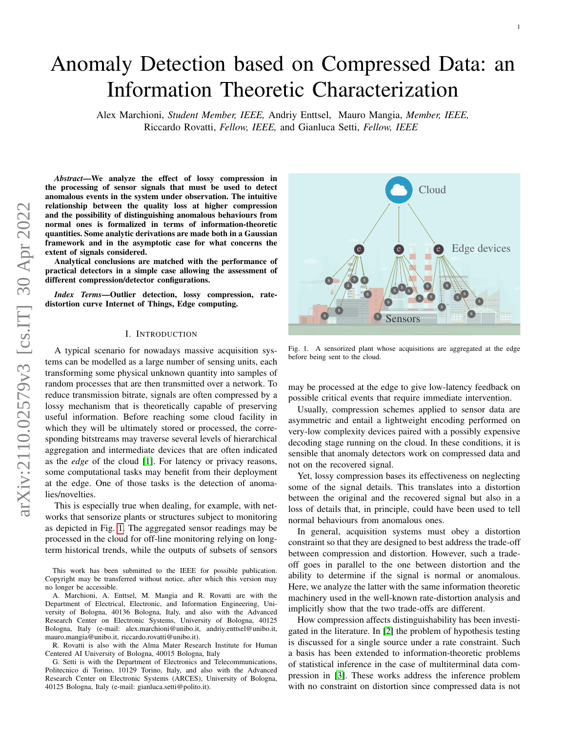# Anomaly Detection based on Compressed Data: an Information Theoretic Characterization

Alex Marchioni, *Student Member, IEEE,* Andriy Enttsel, Mauro Mangia, *Member, IEEE,* Riccardo Rovatti, *Fellow, IEEE,* and Gianluca Setti, *Fellow, IEEE*

*Abstract*—We analyze the effect of lossy compression in the processing of sensor signals that must be used to detect anomalous events in the system under observation. The intuitive relationship between the quality loss at higher compression and the possibility of distinguishing anomalous behaviours from normal ones is formalized in terms of information-theoretic quantities. Some analytic derivations are made both in a Gaussian framework and in the asymptotic case for what concerns the extent of signals considered.

Analytical conclusions are matched with the performance of practical detectors in a simple case allowing the assessment of different compression/detector configurations.

*Index Terms*—Outlier detection, lossy compression, ratedistortion curve Internet of Things, Edge computing.

# I. INTRODUCTION

A typical scenario for nowadays massive acquisition systems can be modelled as a large number of sensing units, each transforming some physical unknown quantity into samples of random processes that are then transmitted over a network. To reduce transmission bitrate, signals are often compressed by a lossy mechanism that is theoretically capable of preserving useful information. Before reaching some cloud facility in which they will be ultimately stored or processed, the corresponding bitstreams may traverse several levels of hierarchical aggregation and intermediate devices that are often indicated as the *edge* of the cloud [\[1\]](#page-12-0). For latency or privacy reasons, some computational tasks may benefit from their deployment at the edge. One of those tasks is the detection of anomalies/novelties.

This is especially true when dealing, for example, with networks that sensorize plants or structures subject to monitoring as depicted in Fig. [1.](#page-0-0) The aggregated sensor readings may be processed in the cloud for off-line monitoring relying on longterm historical trends, while the outputs of subsets of sensors

This work has been submitted to the IEEE for possible publication. Copyright may be transferred without notice, after which this version may no longer be accessible.

A. Marchioni, A. Enttsel, M. Mangia and R. Rovatti are with the Department of Electrical, Electronic, and Information Engineering, University of Bologna, 40136 Bologna, Italy, and also with the Advanced Research Center on Electronic Systems, University of Bologna, 40125 Bologna, Italy (e-mail: alex.marchioni@unibo.it, andriy.enttsel@unibo.it, mauro.mangia@unibo.it, riccardo.rovatti@unibo.it).

R. Rovatti is also with the Alma Mater Research Institute for Human Centered AI University of Bologna, 40015 Bologna, Italy

G. Setti is with the Department of Electronics and Telecommunications, Politecnico di Torino, 10129 Torino, Italy, and also with the Advanced Research Center on Electronic Systems (ARCES), University of Bologna, 40125 Bologna, Italy (e-mail: gianluca.setti@polito.it).



1

<span id="page-0-0"></span>Fig. 1. A sensorized plant whose acquisitions are aggregated at the edge before being sent to the cloud.

may be processed at the edge to give low-latency feedback on possible critical events that require immediate intervention.

Usually, compression schemes applied to sensor data are asymmetric and entail a lightweight encoding performed on very-low complexity devices paired with a possibly expensive decoding stage running on the cloud. In these conditions, it is sensible that anomaly detectors work on compressed data and not on the recovered signal.

Yet, lossy compression bases its effectiveness on neglecting some of the signal details. This translates into a distortion between the original and the recovered signal but also in a loss of details that, in principle, could have been used to tell normal behaviours from anomalous ones.

In general, acquisition systems must obey a distortion constraint so that they are designed to best address the trade-off between compression and distortion. However, such a tradeoff goes in parallel to the one between distortion and the ability to determine if the signal is normal or anomalous. Here, we analyze the latter with the same information theoretic machinery used in the well-known rate-distortion analysis and implicitly show that the two trade-offs are different.

How compression affects distinguishability has been investigated in the literature. In [\[2\]](#page-12-1) the problem of hypothesis testing is discussed for a single source under a rate constraint. Such a basis has been extended to information-theoretic problems of statistical inference in the case of multiterminal data compression in [\[3\]](#page-12-2). These works address the inference problem with no constraint on distortion since compressed data is not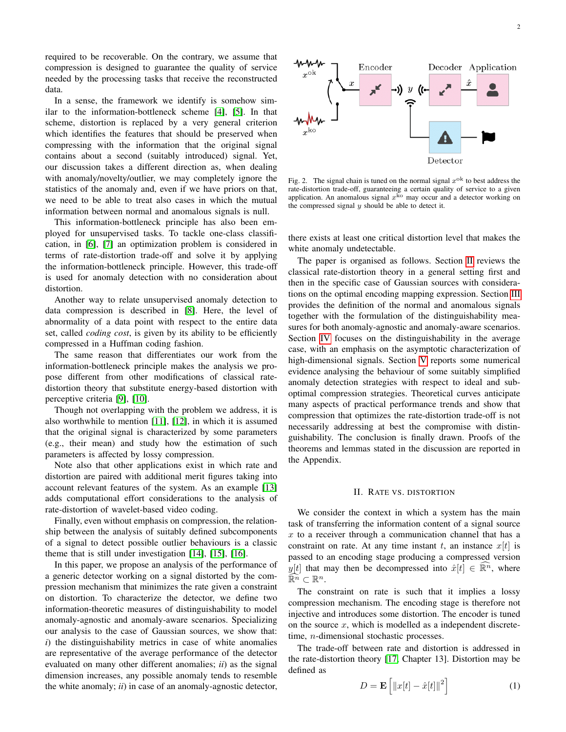required to be recoverable. On the contrary, we assume that compression is designed to guarantee the quality of service needed by the processing tasks that receive the reconstructed data.

In a sense, the framework we identify is somehow similar to the information-bottleneck scheme [\[4\]](#page-12-3), [\[5\]](#page-12-4). In that scheme, distortion is replaced by a very general criterion which identifies the features that should be preserved when compressing with the information that the original signal contains about a second (suitably introduced) signal. Yet, our discussion takes a different direction as, when dealing with anomaly/novelty/outlier, we may completely ignore the statistics of the anomaly and, even if we have priors on that, we need to be able to treat also cases in which the mutual information between normal and anomalous signals is null.

This information-bottleneck principle has also been employed for unsupervised tasks. To tackle one-class classification, in [\[6\]](#page-12-5), [\[7\]](#page-12-6) an optimization problem is considered in terms of rate-distortion trade-off and solve it by applying the information-bottleneck principle. However, this trade-off is used for anomaly detection with no consideration about distortion.

Another way to relate unsupervised anomaly detection to data compression is described in [\[8\]](#page-12-7). Here, the level of abnormality of a data point with respect to the entire data set, called *coding cost*, is given by its ability to be efficiently compressed in a Huffman coding fashion.

The same reason that differentiates our work from the information-bottleneck principle makes the analysis we propose different from other modifications of classical ratedistortion theory that substitute energy-based distortion with perceptive criteria [\[9\]](#page-12-8), [\[10\]](#page-12-9).

Though not overlapping with the problem we address, it is also worthwhile to mention [\[11\]](#page-12-10), [\[12\]](#page-12-11), in which it is assumed that the original signal is characterized by some parameters (e.g., their mean) and study how the estimation of such parameters is affected by lossy compression.

Note also that other applications exist in which rate and distortion are paired with additional merit figures taking into account relevant features of the system. As an example [\[13\]](#page-13-0) adds computational effort considerations to the analysis of rate-distortion of wavelet-based video coding.

Finally, even without emphasis on compression, the relationship between the analysis of suitably defined subcomponents of a signal to detect possible outlier behaviours is a classic theme that is still under investigation [\[14\]](#page-13-1), [\[15\]](#page-13-2), [\[16\]](#page-13-3).

In this paper, we propose an analysis of the performance of a generic detector working on a signal distorted by the compression mechanism that minimizes the rate given a constraint on distortion. To characterize the detector, we define two information-theoretic measures of distinguishability to model anomaly-agnostic and anomaly-aware scenarios. Specializing our analysis to the case of Gaussian sources, we show that: *i*) the distinguishability metrics in case of white anomalies are representative of the average performance of the detector evaluated on many other different anomalies; *ii*) as the signal dimension increases, any possible anomaly tends to resemble the white anomaly; *ii*) in case of an anomaly-agnostic detector,



<span id="page-1-1"></span>Fig. 2. The signal chain is tuned on the normal signal  $x^{ok}$  to best address the rate-distortion trade-off, guaranteeing a certain quality of service to a given application. An anomalous signal  $x^{k_0}$  may occur and a detector working on the compressed signal  $y$  should be able to detect it.

there exists at least one critical distortion level that makes the white anomaly undetectable.

The paper is organised as follows. Section [II](#page-1-0) reviews the classical rate-distortion theory in a general setting first and then in the specific case of Gaussian sources with considerations on the optimal encoding mapping expression. Section [III](#page-2-0) provides the definition of the normal and anomalous signals together with the formulation of the distinguishability measures for both anomaly-agnostic and anomaly-aware scenarios. Section [IV](#page-4-0) focuses on the distinguishability in the average case, with an emphasis on the asymptotic characterization of high-dimensional signals. Section [V](#page-5-0) reports some numerical evidence analysing the behaviour of some suitably simplified anomaly detection strategies with respect to ideal and suboptimal compression strategies. Theoretical curves anticipate many aspects of practical performance trends and show that compression that optimizes the rate-distortion trade-off is not necessarily addressing at best the compromise with distinguishability. The conclusion is finally drawn. Proofs of the theorems and lemmas stated in the discussion are reported in the Appendix.

#### II. RATE VS. DISTORTION

<span id="page-1-0"></span>We consider the context in which a system has the main task of transferring the information content of a signal source  $x$  to a receiver through a communication channel that has a constraint on rate. At any time instant t, an instance  $x[t]$  is passed to an encoding stage producing a compressed version y[t] that may then be decompressed into  $\hat{x}[t] \in \mathbb{R}^n$ , where  $\widehat{\mathbb{R}^n} \subset \mathbb{R}^n.$ 

The constraint on rate is such that it implies a lossy compression mechanism. The encoding stage is therefore not injective and introduces some distortion. The encoder is tuned on the source  $x$ , which is modelled as a independent discretetime, n-dimensional stochastic processes.

The trade-off between rate and distortion is addressed in the rate-distortion theory [\[17,](#page-13-4) Chapter 13]. Distortion may be defined as

<span id="page-1-2"></span>
$$
D = \mathbf{E}\left[\left\|x[t] - \hat{x}[t]\right\|^2\right] \tag{1}
$$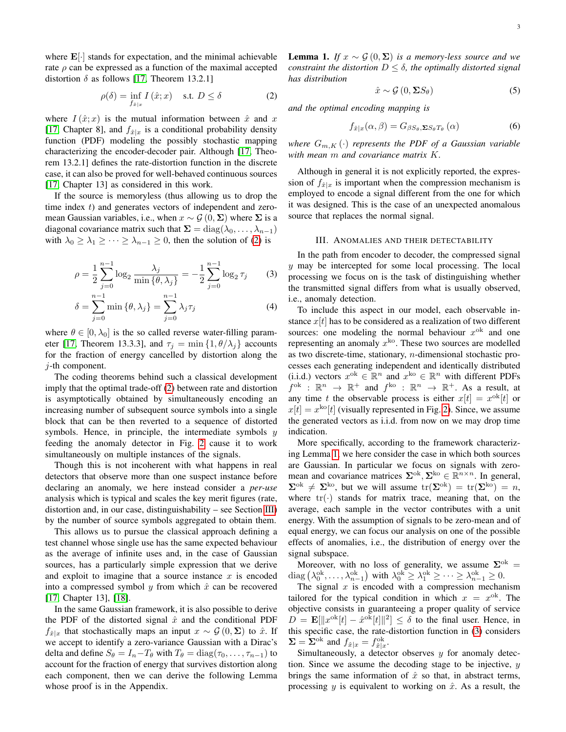where  $\mathbf{E}[\cdot]$  stands for expectation, and the minimal achievable rate  $\rho$  can be expressed as a function of the maximal accepted distortion  $\delta$  as follows [\[17,](#page-13-4) Theorem 13.2.1]

<span id="page-2-1"></span>
$$
\rho(\delta) = \inf_{f_{\hat{x}|x}} I(\hat{x}; x) \quad \text{s.t. } D \le \delta \tag{2}
$$

where  $I(\hat{x};x)$  is the mutual information between  $\hat{x}$  and x [\[17,](#page-13-4) Chapter 8], and  $f_{\hat{x}|x}$  is a conditional probability density function (PDF) modeling the possibly stochastic mapping characterizing the encoder-decoder pair. Although [\[17,](#page-13-4) Theorem 13.2.1] defines the rate-distortion function in the discrete case, it can also be proved for well-behaved continuous sources [\[17,](#page-13-4) Chapter 13] as considered in this work.

If the source is memoryless (thus allowing us to drop the time index  $t$ ) and generates vectors of independent and zeromean Gaussian variables, i.e., when  $x \sim \mathcal{G}(0, \Sigma)$  where  $\Sigma$  is a diagonal covariance matrix such that  $\Sigma = diag(\lambda_0, \dots, \lambda_{n-1})$ with  $\lambda_0 \geq \lambda_1 \geq \cdots \geq \lambda_{n-1} \geq 0$ , then the solution of [\(2\)](#page-2-1) is

$$
\rho = \frac{1}{2} \sum_{j=0}^{n-1} \log_2 \frac{\lambda_j}{\min{\{\theta, \lambda_j\}}} = -\frac{1}{2} \sum_{j=0}^{n-1} \log_2 \tau_j \tag{3}
$$

$$
\delta = \sum_{j=0}^{n-1} \min \{ \theta, \lambda_j \} = \sum_{j=0}^{n-1} \lambda_j \tau_j \tag{4}
$$

where  $\theta \in [0, \lambda_0]$  is the so called reverse water-filling param-eter [\[17,](#page-13-4) Theorem 13.3.3], and  $\tau_j = \min\{1, \theta/\lambda_j\}$  accounts for the fraction of energy cancelled by distortion along the  $j$ -th component.

The coding theorems behind such a classical development imply that the optimal trade-off [\(2\)](#page-2-1) between rate and distortion is asymptotically obtained by simultaneously encoding an increasing number of subsequent source symbols into a single block that can be then reverted to a sequence of distorted symbols. Hence, in principle, the intermediate symbols  $y$ feeding the anomaly detector in Fig. [2](#page-1-1) cause it to work simultaneously on multiple instances of the signals.

Though this is not incoherent with what happens in real detectors that observe more than one suspect instance before declaring an anomaly, we here instead consider a *per-use* analysis which is typical and scales the key merit figures (rate, distortion and, in our case, distinguishability – see Section [III\)](#page-2-0) by the number of source symbols aggregated to obtain them.

This allows us to pursue the classical approach defining a test channel whose single use has the same expected behaviour as the average of infinite uses and, in the case of Gaussian sources, has a particularly simple expression that we derive and exploit to imagine that a source instance  $x$  is encoded into a compressed symbol y from which  $\hat{x}$  can be recovered [\[17,](#page-13-4) Chapter 13], [\[18\]](#page-13-5).

In the same Gaussian framework, it is also possible to derive the PDF of the distorted signal  $\hat{x}$  and the conditional PDF  $f_{\hat{x}|x}$  that stochastically maps an input  $x \sim \mathcal{G}(0, \Sigma)$  to  $\hat{x}$ . If we accept to identify a zero-variance Gaussian with a Dirac's delta and define  $S_{\theta} = I_n - T_{\theta}$  with  $T_{\theta} = \text{diag}(\tau_0, \dots, \tau_{n-1})$  to account for the fraction of energy that survives distortion along each component, then we can derive the following Lemma whose proof is in the Appendix.

<span id="page-2-2"></span>**Lemma 1.** *If*  $x \sim \mathcal{G}(0, Σ)$  *is a memory-less source and we constraint the distortion*  $D \leq \delta$ *, the optimally distorted signal has distribution*

<span id="page-2-4"></span>
$$
\hat{x} \sim \mathcal{G}\left(0, \Sigma S_{\theta}\right) \tag{5}
$$

*and the optimal encoding mapping is*

<span id="page-2-5"></span>
$$
f_{\hat{x}|x}(\alpha,\beta) = G_{\beta S_{\theta},\Sigma S_{\theta}T_{\theta}}(\alpha)
$$
 (6)

*where*  $G_{m,K}(\cdot)$  *represents the PDF of a Gaussian variable with mean* m *and covariance matrix* K*.*

Although in general it is not explicitly reported, the expression of  $f_{\hat{x}|x}$  is important when the compression mechanism is employed to encode a signal different from the one for which it was designed. This is the case of an unexpected anomalous source that replaces the normal signal.

#### III. ANOMALIES AND THEIR DETECTABILITY

<span id="page-2-3"></span><span id="page-2-0"></span>In the path from encoder to decoder, the compressed signal  $y$  may be intercepted for some local processing. The local processing we focus on is the task of distinguishing whether the transmitted signal differs from what is usually observed, i.e., anomaly detection.

To include this aspect in our model, each observable instance  $x[t]$  has to be considered as a realization of two different sources: one modeling the normal behaviour  $x^{ok}$  and one representing an anomaly  $x^{k_0}$ . These two sources are modelled as two discrete-time, stationary, n-dimensional stochastic processes each generating independent and identically distributed (i.i.d.) vectors  $x^{ok} \in \mathbb{R}^n$  and  $x^{ko} \in \mathbb{R}^n$  with different PDFs  $f^{ok}$  :  $\mathbb{R}^n \to \mathbb{R}^+$  and  $f^{ko}$  :  $\mathbb{R}^n \to \mathbb{R}^+$ . As a result, at any time t the observable process is either  $x[t] = x^{\text{ok}}[t]$  or  $x[t] = x^{\text{ko}}[t]$  (visually represented in Fig. [2\)](#page-1-1). Since, we assume the generated vectors as i.i.d. from now on we may drop time indication.

More specifically, according to the framework characterizing Lemma [1,](#page-2-2) we here consider the case in which both sources are Gaussian. In particular we focus on signals with zeromean and covariance matrices  $\Sigma^{ok}$ ,  $\Sigma^{ko} \in \mathbb{R}^{n \times n}$ . In general,  $\Sigma^{ok} \neq \Sigma^{ko}$ , but we will assume  $\text{tr}(\Sigma^{ok}) = \text{tr}(\Sigma^{ko}) = n$ , where  $tr(\cdot)$  stands for matrix trace, meaning that, on the average, each sample in the vector contributes with a unit energy. With the assumption of signals to be zero-mean and of equal energy, we can focus our analysis on one of the possible effects of anomalies, i.e., the distribution of energy over the signal subspace.

Moreover, with no loss of generality, we assume  $\Sigma^{ok} =$ diag  $(\lambda_0^{\text{ok}}, \dots, \lambda_{n-1}^{\text{ok}})$  with  $\lambda_0^{\text{ok}} \geq \lambda_1^{\text{ok}} \geq \dots \geq \lambda_{n-1}^{\text{ok}} \geq 0$ .

The signal  $x$  is encoded with a compression mechanism tailored for the typical condition in which  $x = x<sup>ok</sup>$ . The objective consists in guaranteeing a proper quality of service  $D = \mathbf{E}[\Vert x^{\text{ok}}[t] - \hat{x}^{\text{ok}}[t] \Vert^2] \le \delta$  to the final user. Hence, in this specific case, the rate-distortion function in [\(3\)](#page-2-3) considers  $\Sigma = \Sigma^{\text{ok}}$  and  $f_{\hat{x}|x} = f_{\hat{x}|x}^{\text{ok}}$ .

Simultaneously, a detector observes  $y$  for anomaly detection. Since we assume the decoding stage to be injective,  $y$ brings the same information of  $\hat{x}$  so that, in abstract terms, processing y is equivalent to working on  $\hat{x}$ . As a result, the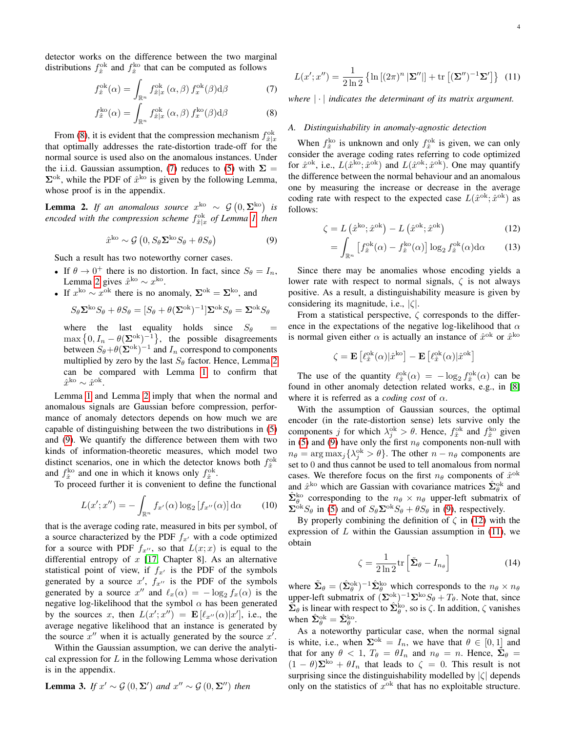detector works on the difference between the two marginal distributions  $f_{\hat{x}}^{\text{ok}}$  and  $f_{\hat{x}}^{\text{ko}}$  that can be computed as follows

$$
f_{\hat{x}}^{\text{ok}}(\alpha) = \int_{\mathbb{R}^n} f_{\hat{x}|x}^{\text{ok}}(\alpha, \beta) f_x^{\text{ok}}(\beta) \text{d}\beta \tag{7}
$$

$$
f_{\hat{x}}^{\text{ko}}(\alpha) = \int_{\mathbb{R}^n} f_{\hat{x}|x}^{\text{ok}}(\alpha, \beta) f_x^{\text{ko}}(\beta) d\beta \tag{8}
$$

From [\(8\)](#page-3-0), it is evident that the compression mechanism  $f_{\hat{x}|x}^{\text{ok}}$ that optimally addresses the rate-distortion trade-off for the normal source is used also on the anomalous instances. Under the i.i.d. Gaussian assumption, [\(7\)](#page-3-1) reduces to [\(5\)](#page-2-4) with  $\Sigma =$  $\Sigma^{ok}$ , while the PDF of  $\hat{x}^{ko}$  is given by the following Lemma, whose proof is in the appendix.

<span id="page-3-2"></span>**Lemma 2.** If an anomalous source  $x^{ko} \sim \mathcal{G}(0, \Sigma^{ko})$  is *encoded with the compression scheme*  $f_{\hat{x}|x}^{\text{ok}}$  *of Lemma [1,](#page-2-2) then* 

<span id="page-3-3"></span>
$$
\hat{x}^{\text{ko}} \sim \mathcal{G}\left(0, S_{\theta} \Sigma^{\text{ko}} S_{\theta} + \theta S_{\theta}\right) \tag{9}
$$

Such a result has two noteworthy corner cases.

- If  $\theta \to 0^+$  there is no distortion. In fact, since  $S_{\theta} = I_n$ , Lemma [2](#page-3-2) gives  $\hat{x}^{\text{ko}} \sim x^{\text{ko}}$ .
- If  $x^{\text{ko}} \sim x^{\text{ok}}$  there is no anomaly,  $\Sigma^{\text{ok}} = \Sigma^{\text{ko}}$ , and

$$
S_{\theta} \Sigma^{\text{ko}} S_{\theta} + \theta S_{\theta} = [S_{\theta} + \theta (\Sigma^{\text{ok}})^{-1}] \Sigma^{\text{ok}} S_{\theta} = \Sigma^{\text{ok}} S_{\theta}
$$

where the last equality holds since  $S_{\theta}$  =  $\max\left\{0, I_n - \theta(\mathbf{\Sigma}^{\text{ok}})^{-1}\right\}$ , the possible disagreements between  $S_{\theta} + \theta (\Sigma^{\text{ok}})^{-1}$  and  $I_n$  correspond to components multiplied by zero by the last  $S_{\theta}$  factor. Hence, Lemma [2](#page-3-2) can be compared with Lemma [1](#page-2-2) to confirm that  $\hat{x}^{\text{ko}} \sim \hat{x}^{\text{ok}}$ .

Lemma [1](#page-2-2) and Lemma [2](#page-3-2) imply that when the normal and anomalous signals are Gaussian before compression, performance of anomaly detectors depends on how much we are capable of distinguishing between the two distributions in [\(5\)](#page-2-4) and [\(9\)](#page-3-3). We quantify the difference between them with two kinds of information-theoretic measures, which model two distinct scenarios, one in which the detector knows both  $f_{\hat{x}}^{\text{ok}}$ and  $f_{\hat{x}}^{\text{ko}}$  and one in which it knows only  $f_{\hat{x}}^{\text{ok}}$ .

To proceed further it is convenient to define the functional

$$
L(x';x'') = -\int_{\mathbb{R}^n} f_{x'}(\alpha) \log_2 [f_{x''}(\alpha)] \, d\alpha \qquad (10)
$$

that is the average coding rate, measured in bits per symbol, of a source characterized by the PDF  $f_{x}$  with a code optimized for a source with PDF  $f_{x''}$ , so that  $L(x; x)$  is equal to the differential entropy of  $x$  [\[17,](#page-13-4) Chapter 8]. As an alternative statistical point of view, if  $f_{x}$  is the PDF of the symbols generated by a source  $x'$ ,  $f_{x''}$  is the PDF of the symbols generated by a source  $x''$  and  $\ell_x(\alpha) = -\log_2 f_x(\alpha)$  is the negative log-likelihood that the symbol  $\alpha$  has been generated by the sources x, then  $L(x'; x'') = \mathbf{E}[\ell_{x''}(\alpha)|x']$ , i.e., the average negative likelihood that an instance is generated by the source  $x''$  when it is actually generated by the source  $x'$ .

Within the Gaussian assumption, we can derive the analytical expression for  $L$  in the following Lemma whose derivation is in the appendix.

<span id="page-3-6"></span>**Lemma 3.** If 
$$
x' \sim \mathcal{G}(0, \Sigma')
$$
 and  $x'' \sim \mathcal{G}(0, \Sigma'')$  then

<span id="page-3-5"></span>
$$
L(x';x'') = \frac{1}{2\ln 2} \left\{ \ln \left[ (2\pi)^n |\mathbf{\Sigma}''| \right] + \text{tr} \left[ (\mathbf{\Sigma}'')^{-1} \mathbf{\Sigma}' \right] \right\} (11)
$$

<span id="page-3-1"></span><span id="page-3-0"></span>*where* | · | *indicates the determinant of its matrix argument.*

#### *A. Distinguishability in anomaly-agnostic detection*

When  $f_{\hat{x}}^{\text{ko}}$  is unknown and only  $f_{\hat{x}}^{\text{ok}}$  is given, we can only consider the average coding rates referring to code optimized for  $\hat{x}^{\text{ok}}$ , i.e.,  $L(\hat{x}^{\text{ko}}; \hat{x}^{\text{ok}})$  and  $L(\hat{x}^{\text{ok}}; \hat{x}^{\text{ok}})$ . One may quantify the difference between the normal behaviour and an anomalous one by measuring the increase or decrease in the average coding rate with respect to the expected case  $L(\hat{x}^{\text{ok}}; \hat{x}^{\text{ok}})$  as follows:

$$
\zeta = L\left(\hat{x}^{\text{ko}}; \hat{x}^{\text{ok}}\right) - L\left(\hat{x}^{\text{ok}}; \hat{x}^{\text{ok}}\right) \tag{12}
$$

<span id="page-3-4"></span>
$$
= \int_{\mathbb{R}^n} \left[ f_x^{\text{ok}}(\alpha) - f_{\hat{x}}^{\text{ko}}(\alpha) \right] \log_2 f_x^{\text{ok}}(\alpha) d\alpha \qquad (13)
$$

Since there may be anomalies whose encoding yields a lower rate with respect to normal signals,  $\zeta$  is not always positive. As a result, a distinguishability measure is given by considering its magnitude, i.e.,  $|\zeta|$ .

From a statistical perspective,  $\zeta$  corresponds to the difference in the expectations of the negative log-likelihood that  $\alpha$ is normal given either  $\alpha$  is actually an instance of  $\hat{x}^{\text{ok}}$  or  $\hat{x}^{\text{ko}}$ 

$$
\zeta = \mathbf{E}\left[\ell_{\hat{x}}^{\text{ok}}(\alpha)|\hat{x}^{\text{ko}}\right] - \mathbf{E}\left[\ell_{\hat{x}}^{\text{ok}}(\alpha)|\hat{x}^{\text{ok}}\right]
$$

The use of the quantity  $\ell_{\hat{x}}^{\text{ok}}(\alpha) = -\log_2 f_{\hat{x}}^{\text{ok}}(\alpha)$  can be found in other anomaly detection related works, e.g., in [\[8\]](#page-12-7) where it is referred as a *coding cost* of  $\alpha$ .

With the assumption of Gaussian sources, the optimal encoder (in the rate-distortion sense) lets survive only the components *j* for which  $\lambda_j^{\text{ok}} > \theta$ . Hence,  $f_{\hat{x}}^{\text{ok}}$  and  $f_{\hat{x}}^{\text{ko}}$  given in [\(5\)](#page-2-4) and [\(9\)](#page-3-3) have only the first  $n_\theta$  components non-null with  $n_{\theta} = \arg \max_j {\lambda_j^{ok}} > \theta$ . The other  $n - n_{\theta}$  components are set to 0 and thus cannot be used to tell anomalous from normal cases. We therefore focus on the first  $n_{\theta}$  components of  $\hat{x}^{\text{ok}}$ and  $\hat{x}^{\text{ko}}$  which are Gassian with covariance matrices  $\hat{\Sigma}_{\theta}^{\text{ok}}$  and  $\hat{\Sigma}_{\theta}^{\rm ko}$  corresponding to the  $n_{\theta} \times n_{\theta}$  upper-left submatrix of  $\sum^{\alpha k} S_{\theta}$  in [\(5\)](#page-2-4) and of  $S_{\theta} \Sigma^{\alpha k} S_{\theta} + \theta S_{\theta}$  in [\(9\)](#page-3-3), respectively.

By properly combining the definition of  $\zeta$  in [\(12\)](#page-3-4) with the expression of  $L$  within the Gaussian assumption in [\(11\)](#page-3-5), we obtain

$$
\zeta = \frac{1}{2\ln 2} \text{tr}\left[\tilde{\Sigma}_{\theta} - I_{n_{\theta}}\right]
$$
 (14)

where  $\tilde{\Sigma}_{\theta} = (\hat{\Sigma}_{\theta}^{ok})^{-1} \hat{\Sigma}_{\theta}^{ko}$  which corresponds to the  $n_{\theta} \times n_{\theta}$ upper-left submatrix of  $(\mathbf{\Sigma}^{\text{ok}})^{-1} \mathbf{\Sigma}^{\text{ko}} S_{\theta} + T_{\theta}$ . Note that, since  $\hat{\Sigma}_{\theta}$  is linear with respect to  $\hat{\Sigma}_{\theta}^{ko}$ , so is  $\zeta$ . In addition,  $\zeta$  vanishes when  $\hat{\Sigma}_{\theta}^{\text{ok}} = \hat{\Sigma}_{\theta}^{\text{ko}}$ .

As a noteworthy particular case, when the normal signal is white, i.e., when  $\Sigma^{ok} = I_n$ , we have that  $\theta \in [0,1]$  and that for any  $\theta$  < 1,  $T_{\theta} = \theta I_n$  and  $n_{\theta} = n$ . Hence,  $\tilde{\Sigma}_{\theta} =$  $(1 - \theta)\Sigma^{k\circ} + \theta I_n$  that leads to  $\zeta = 0$ . This result is not surprising since the distinguishability modelled by  $|\zeta|$  depends only on the statistics of  $x<sup>ok</sup>$  that has no exploitable structure.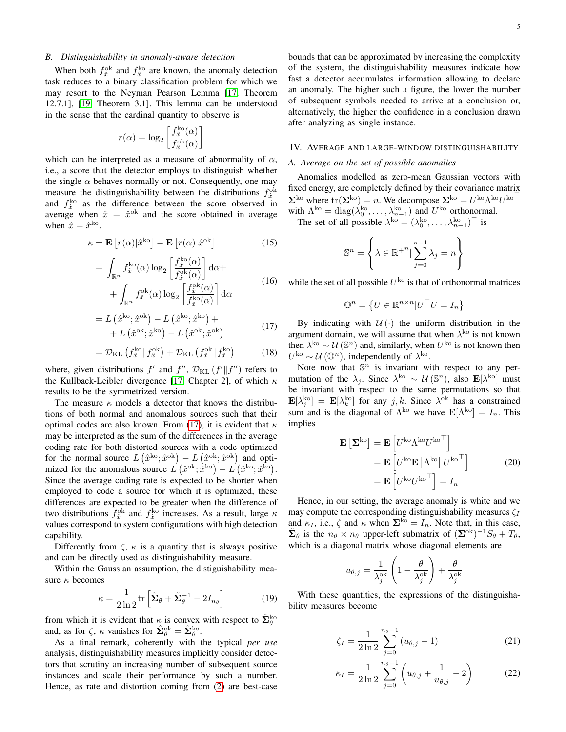### *B. Distinguishability in anomaly-aware detection*

When both  $f_{\hat{x}}^{\text{ok}}$  and  $f_{\hat{x}}^{\text{ko}}$  are known, the anomaly detection task reduces to a binary classification problem for which we may resort to the Neyman Pearson Lemma [\[17,](#page-13-4) Theorem 12.7.1], [\[19,](#page-13-6) Theorem 3.1]. This lemma can be understood in the sense that the cardinal quantity to observe is

$$
r(\alpha) = \log_2 \left[ \frac{f_{\hat{x}}^{\text{ko}}(\alpha)}{f_{\hat{x}}^{\text{ok}}(\alpha)} \right]
$$

which can be interpreted as a measure of abnormality of  $\alpha$ , i.e., a score that the detector employs to distinguish whether the single  $\alpha$  behaves normally or not. Consequently, one may measure the distinguishability between the distributions  $f_{\hat{x}}^{\text{ok}}$ and  $f_{\hat{x}}^{ko}$  as the difference between the score observed in average when  $\hat{x} = \hat{x}^{\text{ok}}$  and the score obtained in average when  $\hat{x} = \hat{x}^{\text{ko}}$ .

$$
\kappa = \mathbf{E}\left[r(\alpha)|\hat{x}^{\text{ko}}\right] - \mathbf{E}\left[r(\alpha)|\hat{x}^{\text{ok}}\right]
$$
 (15)

$$
= \int_{\mathbb{R}^n} f_x^{ko}(\alpha) \log_2 \left[ \frac{f_x^{ko}(\alpha)}{f_x^{ok}(\alpha)} \right] d\alpha + + \int_{\mathbb{R}^n} f_x^{ok}(\alpha) \log_2 \left[ \frac{f_x^{ok}(\alpha)}{f_x^{ko}(\alpha)} \right] d\alpha
$$
 (16)

$$
= L\left(\hat{x}^{\text{ko}}; \hat{x}^{\text{ok}}\right) - L\left(\hat{x}^{\text{ko}}; \hat{x}^{\text{ko}}\right) ++ L\left(\hat{x}^{\text{ok}}; \hat{x}^{\text{ko}}\right) - L\left(\hat{x}^{\text{ok}}; \hat{x}^{\text{ok}}\right)
$$
(17)

$$
= \mathcal{D}_{\text{KL}}\left(f_{\hat{x}}^{\text{ko}}\|f_{\hat{x}}^{\text{ok}}\right) + \mathcal{D}_{\text{KL}}\left(f_{\hat{x}}^{\text{ok}}\|f_{\hat{x}}^{\text{ko}}\right) \tag{18}
$$

where, given distributions  $f'$  and  $f''$ ,  $\mathcal{D}_{\text{KL}}(f'||f'')$  refers to the Kullback-Leibler divergence [\[17,](#page-13-4) Chapter 2], of which  $\kappa$ results to be the symmetrized version.

The measure  $\kappa$  models a detector that knows the distributions of both normal and anomalous sources such that their optimal codes are also known. From [\(17\)](#page-4-1), it is evident that  $\kappa$ may be interpreted as the sum of the differences in the average coding rate for both distorted sources with a code optimized for the normal source  $L(\hat{x}^{ko}; \hat{x}^{ok}) - L(\hat{x}^{ok}; \hat{x}^{ok})$  and optimized for the anomalous source  $\hat{L} (\hat{x}^{\text{ok}}; \hat{x}^{\text{ko}}) - \hat{L} (\hat{x}^{\text{ko}}; \hat{x}^{\text{ko}}).$ Since the average coding rate is expected to be shorter when employed to code a source for which it is optimized, these differences are expected to be greater when the difference of two distributions  $f_{\hat{x}}^{\text{ok}}$  and  $f_{\hat{x}}^{\text{ko}}$  increases. As a result, large  $\kappa$ values correspond to system configurations with high detection capability.

Differently from  $\zeta$ ,  $\kappa$  is a quantity that is always positive and can be directly used as distinguishability measure.

Within the Gaussian assumption, the distiguishability measure  $\kappa$  becomes

$$
\kappa = \frac{1}{2\ln 2} \text{tr} \left[ \tilde{\Sigma}_{\theta} + \tilde{\Sigma}_{\theta}^{-1} - 2I_{n_{\theta}} \right]
$$
(19)

from which it is evident that  $\kappa$  is convex with respect to  $\hat{\Sigma}_{\theta}^{\text{ko}}$ and, as for  $\zeta$ ,  $\kappa$  vanishes for  $\hat{\Sigma}_{\theta}^{\text{ok}} = \hat{\Sigma}_{\theta}^{\text{ko}}$ .

As a final remark, coherently with the typical *per use* analysis, distinguishability measures implicitly consider detectors that scrutiny an increasing number of subsequent source instances and scale their performance by such a number. Hence, as rate and distortion coming from [\(2\)](#page-2-1) are best-case bounds that can be approximated by increasing the complexity of the system, the distinguishability measures indicate how fast a detector accumulates information allowing to declare an anomaly. The higher such a figure, the lower the number of subsequent symbols needed to arrive at a conclusion or, alternatively, the higher the confidence in a conclusion drawn after analyzing as single instance.

# <span id="page-4-0"></span>IV. AVERAGE AND LARGE-WINDOW DISTINGUISHABILITY

## <span id="page-4-2"></span>*A. Average on the set of possible anomalies*

Anomalies modelled as zero-mean Gaussian vectors with fixed energy, are completely defined by their covariance matrix  $\Sigma^{\text{ko}}$  where  $\text{tr}(\Sigma^{\text{ko}}) = n$ . We decompose  $\Sigma^{\text{ko}} = U^{\text{ko}} \Lambda^{\text{ko}} U^{\text{ko}}$ with  $\Lambda^{ko} = \text{diag}(\lambda_0^{ko}, \dots, \lambda_{n-1}^{ko})$  and  $U^{ko}$  orthonormal.

The set of all possible  $\lambda^{k\text{o}} = (\lambda_0^{k\text{o}}, \dots, \lambda_{n-1}^{k\text{o}})^\top$  is

$$
\mathbb{S}^{n} = \left\{ \lambda \in \mathbb{R}^{+n} \vert \sum_{j=0}^{n-1} \lambda_{j} = n \right\}
$$

while the set of all possible  $U^{k\text{o}}$  is that of orthonormal matrices

$$
\mathbb{O}^n = \left\{ U \in \mathbb{R}^{n \times n} | U^\top U = I_n \right\}
$$

<span id="page-4-1"></span>By indicating with  $U(\cdot)$  the uniform distribution in the argument domain, we will assume that when  $\lambda^{k\alpha}$  is not known then  $\lambda^{k\circ} \sim \mathcal{U}(\mathbb{S}^n)$  and, similarly, when  $U^{k\circ}$  is not known then  $U^{\text{ko}} \sim \mathcal{U}\left(\mathbb{O}^n\right)$ , independently of  $\lambda^{\text{ko}}$ .

Note now that  $\mathbb{S}^n$  is invariant with respect to any permutation of the  $\lambda_j$ . Since  $\lambda^{k\text{o}} \sim \mathcal{U}(\mathbb{S}^n)$ , also  $\mathbf{E}[\lambda^{k\text{o}}]$  must be invariant with respect to the same permutations so that  $\mathbf{E}[\lambda_j^{\rm ko}] = \mathbf{E}[\lambda_k^{\rm ko}]$  for any j, k. Since  $\lambda^{\rm ok}$  has a constrained sum and is the diagonal of  $\Lambda^{k\circ}$  we have  $\mathbf{E}[\Lambda^{k\circ}] = I_n$ . This implies

$$
\mathbf{E}\left[\mathbf{\Sigma}^{\text{ko}}\right] = \mathbf{E}\left[U^{\text{ko}}\Lambda^{\text{ko}}U^{\text{ko}}^{\mathsf{T}}\right]
$$

$$
= \mathbf{E}\left[U^{\text{ko}}\mathbf{E}\left[\Lambda^{\text{ko}}\right]U^{\text{ko}}^{\mathsf{T}}\right]
$$

$$
= \mathbf{E}\left[U^{\text{ko}}U^{\text{ko}}^{\mathsf{T}}\right] = I_n
$$
(20)

Hence, in our setting, the average anomaly is white and we may compute the corresponding distinguishability measures  $\zeta_I$ and  $\kappa_I$ , i.e.,  $\zeta$  and  $\kappa$  when  $\Sigma^{\rm ko} = I_n$ . Note that, in this case,  $\tilde{\Sigma}_{\theta}$  is the  $n_{\theta} \times n_{\theta}$  upper-left submatrix of  $(\Sigma^{ok})^{-1}S_{\theta} + T_{\theta}$ , which is a diagonal matrix whose diagonal elements are

$$
u_{\theta,j} = \frac{1}{\lambda_j^{ok}} \left( 1 - \frac{\theta}{\lambda_j^{ok}} \right) + \frac{\theta}{\lambda_j^{ok}}
$$

<span id="page-4-4"></span>With these quantities, the expressions of the distinguishability measures become

<span id="page-4-3"></span>
$$
\zeta_I = \frac{1}{2\ln 2} \sum_{j=0}^{n_{\theta}-1} (u_{\theta,j} - 1)
$$
 (21)

$$
\kappa_I = \frac{1}{2\ln 2} \sum_{j=0}^{n_{\theta}-1} \left( u_{\theta,j} + \frac{1}{u_{\theta,j}} - 2 \right) \tag{22}
$$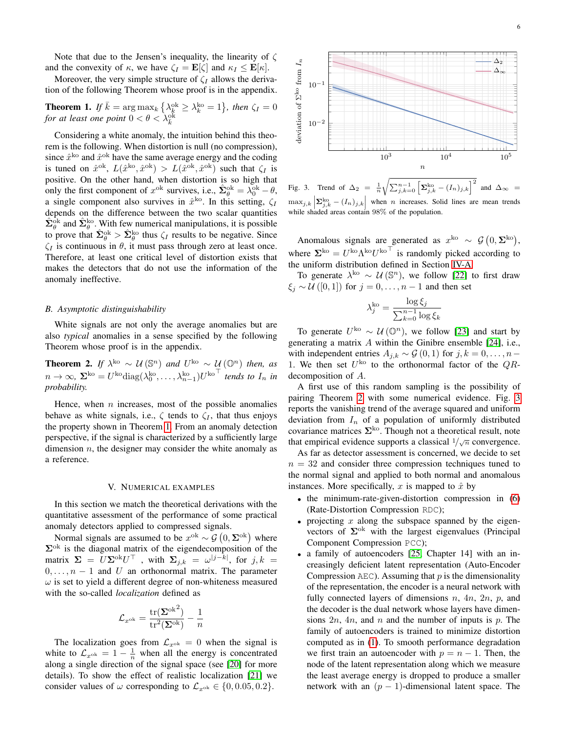Note that due to the Jensen's inequality, the linearity of  $\zeta$ and the convexity of  $\kappa$ , we have  $\zeta_I = \mathbf{E}[\zeta]$  and  $\kappa_I \leq \mathbf{E}[\kappa]$ .

Moreover, the very simple structure of  $\zeta_I$  allows the derivation of the following Theorem whose proof is in the appendix.

<span id="page-5-1"></span>**Theorem 1.** If  $\bar{k} = \arg \max_k \{ \lambda_k^{ok} \geq \lambda_k^{ko} = 1 \}$ , then  $\zeta_I = 0$ *for at least one point*  $0 < \theta < \lambda_k^{\text{o}k}$ 

Considering a white anomaly, the intuition behind this theorem is the following. When distortion is null (no compression), since  $\hat{x}^{ko}$  and  $\hat{x}^{ok}$  have the same average energy and the coding is tuned on  $\hat{x}^{\text{ok}}, L(\hat{x}^{\text{ko}}, \hat{x}^{\text{ok}}) > L(\hat{x}^{\text{ok}}, \hat{x}^{\text{ok}})$  such that  $\zeta_I$  is positive. On the other hand, when distortion is so high that only the first component of  $x^{ok}$  survives, i.e.,  $\hat{\Sigma}_{\theta}^{ok} = \lambda_0^{ok} - \theta$ , a single component also survives in  $\hat{x}^{ko}$ . In this setting,  $\zeta_I$ depends on the difference between the two scalar quantities  $\hat{\Sigma}_{\theta}^{\text{ok}}$  and  $\hat{\Sigma}_{\theta}^{\text{ko}}$ . With few numerical manipulations, it is possible to prove that  $\hat{\Sigma}_{\theta}^{\text{ok}} > \hat{\Sigma}_{\theta}^{\text{ko}}$  thus  $\zeta_I$  results to be negative. Since  $\zeta_I$  is continuous in  $\theta$ , it must pass through zero at least once. Therefore, at least one critical level of distortion exists that makes the detectors that do not use the information of the anomaly ineffective.

#### *B. Asymptotic distinguishability*

White signals are not only the average anomalies but are also *typical* anomalies in a sense specified by the following Theorem whose proof is in the appendix.

<span id="page-5-2"></span>**Theorem 2.** If  $\lambda^{k\text{o}} \sim \mathcal{U}(\mathbb{S}^n)$  and  $U^{k\text{o}} \sim \mathcal{U}(\mathbb{O}^n)$  then, as  $n \to \infty$ ,  $\Sigma^{ko} = U^{ko} \text{diag}(\lambda_0^{ko}, \dots, \lambda_{n-1}^{ko}) U^{ko}$ <sup>T</sup> *tends to*  $I_n$  *in probability.*

Hence, when  $n$  increases, most of the possible anomalies behave as white signals, i.e.,  $\zeta$  tends to  $\zeta_I$ , that thus enjoys the property shown in Theorem [1.](#page-5-1) From an anomaly detection perspective, if the signal is characterized by a sufficiently large dimension  $n$ , the designer may consider the white anomaly as a reference.

#### V. NUMERICAL EXAMPLES

<span id="page-5-0"></span>In this section we match the theoretical derivations with the quantitative assessment of the performance of some practical anomaly detectors applied to compressed signals.

Normal signals are assumed to be  $x^{ok} \sim \mathcal{G}(0, \Sigma^{ok})$  where  $\Sigma$ <sup>ok</sup> is the diagonal matrix of the eigendecomposition of the matrix  $\Sigma = U \Sigma^{\text{ok}} U^{\top}$  , with  $\Sigma_{j,k} = \omega^{|j-k|}$ , for  $j,k =$  $0, \ldots, n - 1$  and U an orthonormal matrix. The parameter  $\omega$  is set to yield a different degree of non-whiteness measured with the so-called *localization* defined as

$$
\mathcal{L}_{x^\text{ok}} = \frac{\text{tr}(\boldsymbol{\Sigma}^\text{ok}^2)}{\text{tr}^2(\boldsymbol{\Sigma}^\text{ok})} - \frac{1}{n}
$$

The localization goes from  $\mathcal{L}_{x}$ <sup>ok</sup> = 0 when the signal is white to  $\mathcal{L}_{x}$ <sup>ok</sup> = 1 –  $\frac{1}{n}$  when all the energy is concentrated along a single direction of the signal space (see [\[20\]](#page-13-7) for more details). To show the effect of realistic localization [\[21\]](#page-13-8) we consider values of  $\omega$  corresponding to  $\mathcal{L}_{x}$ <sup>ok</sup>  $\in \{0, 0.05, 0.2\}.$ 



<span id="page-5-3"></span>Fig. 3. Trend of  $\Delta_2 = \frac{1}{n} \sqrt{\sum_{j,k=0}^{n-1} \left[\sum_{j,k}^{k_0} - (I_n)_{j,k}\right]^2}$  and  $\Delta_{\infty}$  $\max_{j,k} \left| \sum_{j,k}^{\text{ko}} - (I_n)_{j,k} \right|$  when n increases. Solid lines are mean trends while shaded areas contain 98% of the population.

Anomalous signals are generated as  $x^{\text{ko}} \sim \mathcal{G}(0, \Sigma^{\text{ko}})$ , where  $\Sigma^{\text{ko}} = U^{\text{ko}} \Lambda^{\text{ko}} U^{\text{ko}}^{\top}$  is randomly picked according to the uniform distribution defined in Section [IV-A.](#page-4-2)

To generate  $\lambda^{k\circ} \sim \mathcal{U}(\mathbb{S}^n)$ , we follow [\[22\]](#page-13-9) to first draw  $\xi_i \sim \mathcal{U}([0,1])$  for  $j=0,\ldots,n-1$  and then set

$$
\lambda_j^{\text{ko}} = \frac{\log \xi_j}{\sum_{k=0}^{n-1} \log \xi_k}
$$

To generate  $U^{\text{ko}} \sim \mathcal{U}(\mathbb{O}^n)$ , we follow [\[23\]](#page-13-10) and start by generating a matrix A within the Ginibre ensemble [\[24\]](#page-13-11), i.e., with independent entries  $A_{i,k} \sim \mathcal{G}(0,1)$  for  $j, k = 0, \ldots, n-1$ 1. We then set  $U^{\text{ko}}$  to the orthonormal factor of the  $QR$ decomposition of A.

A first use of this random sampling is the possibility of pairing Theorem [2](#page-5-2) with some numerical evidence. Fig. [3](#page-5-3) reports the vanishing trend of the average squared and uniform deviation from  $I_n$  of a population of uniformly distributed covariance matrices  $\Sigma^{ko}$ . Though not a theoretical result, note that empirical evidence supports a classical  $1/\sqrt{n}$  convergence.

As far as detector assessment is concerned, we decide to set  $n = 32$  and consider three compression techniques tuned to the normal signal and applied to both normal and anomalous instances. More specifically, x is mapped to  $\hat{x}$  by

- the minimum-rate-given-distortion compression in [\(6\)](#page-2-5) (Rate-Distortion Compression RDC);
- projecting  $x$  along the subspace spanned by the eigenvectors of  $\Sigma^{ok}$  with the largest eigenvalues (Principal Component Compression PCC);
- a family of autoencoders [\[25,](#page-13-12) Chapter 14] with an increasingly deficient latent representation (Auto-Encoder Compression  $AEC$ ). Assuming that p is the dimensionality of the representation, the encoder is a neural network with fully connected layers of dimensions  $n$ ,  $4n$ ,  $2n$ ,  $p$ , and the decoder is the dual network whose layers have dimensions  $2n$ ,  $4n$ , and n and the number of inputs is p. The family of autoencoders is trained to minimize distortion computed as in [\(1\)](#page-1-2). To smooth performance degradation we first train an autoencoder with  $p = n - 1$ . Then, the node of the latent representation along which we measure the least average energy is dropped to produce a smaller network with an  $(p - 1)$ -dimensional latent space. The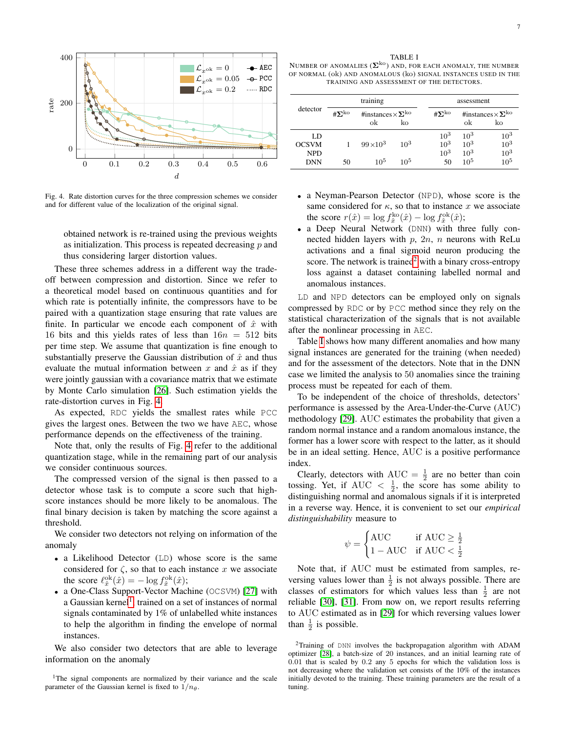

<span id="page-6-0"></span>Fig. 4. Rate distortion curves for the three compression schemes we consider and for different value of the localization of the original signal.

obtained network is re-trained using the previous weights as initialization. This process is repeated decreasing  $p$  and thus considering larger distortion values.

These three schemes address in a different way the tradeoff between compression and distortion. Since we refer to a theoretical model based on continuous quantities and for which rate is potentially infinite, the compressors have to be paired with a quantization stage ensuring that rate values are finite. In particular we encode each component of  $\hat{x}$  with 16 bits and this yields rates of less than  $16n = 512$  bits per time step. We assume that quantization is fine enough to substantially preserve the Gaussian distribution of  $\hat{x}$  and thus evaluate the mutual information between x and  $\hat{x}$  as if they were jointly gaussian with a covariance matrix that we estimate by Monte Carlo simulation [\[26\]](#page-13-13). Such estimation yields the rate-distortion curves in Fig. [4.](#page-6-0)

As expected, RDC yields the smallest rates while PCC gives the largest ones. Between the two we have AEC, whose performance depends on the effectiveness of the training.

Note that, only the results of Fig. [4](#page-6-0) refer to the additional quantization stage, while in the remaining part of our analysis we consider continuous sources.

The compressed version of the signal is then passed to a detector whose task is to compute a score such that highscore instances should be more likely to be anomalous. The final binary decision is taken by matching the score against a threshold.

We consider two detectors not relying on information of the anomaly

- a Likelihood Detector (LD) whose score is the same considered for  $\zeta$ , so that to each instance x we associate the score  $\ell_{\hat{x}}^{\text{ok}}(\hat{x}) = -\log f_{\hat{x}}^{\text{ok}}(\hat{x});$
- a One-Class Support-Vector Machine (OCSVM) [\[27\]](#page-13-14) with a Gaussian kernel<sup>[1](#page-6-1)</sup>, trained on a set of instances of normal signals contaminated by 1% of unlabelled white instances to help the algorithm in finding the envelope of normal instances.

We also consider two detectors that are able to leverage information on the anomaly

TABLE I

<span id="page-6-3"></span>NUMBER OF ANOMALIES  $(\mathbf{\Sigma}^{ko})$  AND, FOR EACH ANOMALY, THE NUMBER OF NORMAL (ok) AND ANOMALOUS (ko) SIGNAL INSTANCES USED IN THE TRAINING AND ASSESSMENT OF THE DETECTORS.

| detector     | training             |                                       |        |                      | assessment |                                     |  |
|--------------|----------------------|---------------------------------------|--------|----------------------|------------|-------------------------------------|--|
|              | $\# \Sigma^{\rm ko}$ | #instances $\times\Sigma^{k\text{o}}$ |        | $\# \Sigma^{\rm ko}$ |            | #instances $\times \Sigma^{k\circ}$ |  |
|              |                      | ok                                    | ko     |                      | ok         | ko                                  |  |
| LD           |                      |                                       |        | $10^{3}$             | $10^{3}$   | $10^{3}$                            |  |
| <b>OCSVM</b> |                      | $99 \times 10^3$                      | $10^3$ | $10^{3}$             | $10^{3}$   | $10^{3}$                            |  |
| <b>NPD</b>   |                      |                                       |        | $10^{3}$             | $10^{3}$   | $10^{3}$                            |  |
| <b>DNN</b>   | 50                   | 10 <sup>5</sup>                       | 105    | 50                   | $10^{5}$   | $10^{5}$                            |  |

- a Neyman-Pearson Detector (NPD), whose score is the same considered for  $\kappa$ , so that to instance x we associate the score  $r(\hat{x}) = \log f_{\hat{x}}^{\text{ko}}(\hat{x}) - \log f_{\hat{x}}^{\text{ok}}(\hat{x});$
- a Deep Neural Network (DNN) with three fully connected hidden layers with  $p$ ,  $2n$ ,  $n$  neurons with ReLu activations and a final sigmoid neuron producing the score. The network is trained<sup>[2](#page-6-2)</sup> with a binary cross-entropy loss against a dataset containing labelled normal and anomalous instances.

LD and NPD detectors can be employed only on signals compressed by RDC or by PCC method since they rely on the statistical characterization of the signals that is not available after the nonlinear processing in AEC.

Table [I](#page-6-3) shows how many different anomalies and how many signal instances are generated for the training (when needed) and for the assessment of the detectors. Note that in the DNN case we limited the analysis to 50 anomalies since the training process must be repeated for each of them.

To be independent of the choice of thresholds, detectors' performance is assessed by the Area-Under-the-Curve (AUC) methodology [\[29\]](#page-13-15). AUC estimates the probability that given a random normal instance and a random anomalous instance, the former has a lower score with respect to the latter, as it should be in an ideal setting. Hence, AUC is a positive performance index.

Clearly, detectors with AUC =  $\frac{1}{2}$  are no better than coin tossing. Yet, if AUC  $\langle \frac{1}{2}, \rangle$  the score has some ability to distinguishing normal and anomalous signals if it is interpreted in a reverse way. Hence, it is convenient to set our *empirical distinguishability* measure to

$$
\psi = \begin{cases} \text{AUC} & \text{if AUC} \ge \frac{1}{2} \\ 1 - \text{AUC} & \text{if AUC} < \frac{1}{2} \end{cases}
$$

Note that, if AUC must be estimated from samples, reversing values lower than  $\frac{1}{2}$  is not always possible. There are classes of estimators for which values less than  $\frac{1}{2}$  are not reliable [\[30\]](#page-13-16), [\[31\]](#page-13-17). From now on, we report results referring to AUC estimated as in [\[29\]](#page-13-15) for which reversing values lower than  $\frac{1}{2}$  is possible.

<span id="page-6-1"></span><sup>&</sup>lt;sup>1</sup>The signal components are normalized by their variance and the scale parameter of the Gaussian kernel is fixed to  $1/n_{\theta}$ .

<span id="page-6-2"></span><sup>2</sup>Training of DNN involves the backpropagation algorithm with ADAM optimizer [\[28\]](#page-13-18), a batch-size of 20 instances, and an initial learning rate of 0.01 that is scaled by 0.2 any 5 epochs for which the validation loss is not decreasing where the validation set consists of the 10% of the instances initially devoted to the training. These training parameters are the result of a tuning.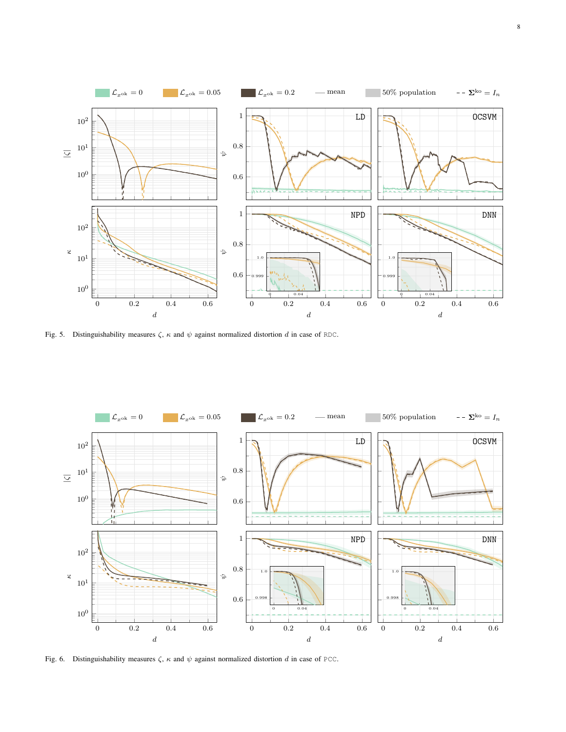

<span id="page-7-0"></span>Fig. 5. Distinguishability measures  $\zeta$ ,  $\kappa$  and  $\psi$  against normalized distortion d in case of RDC.



<span id="page-7-1"></span>Fig. 6. Distinguishability measures  $\zeta$ ,  $\kappa$  and  $\psi$  against normalized distortion d in case of PCC.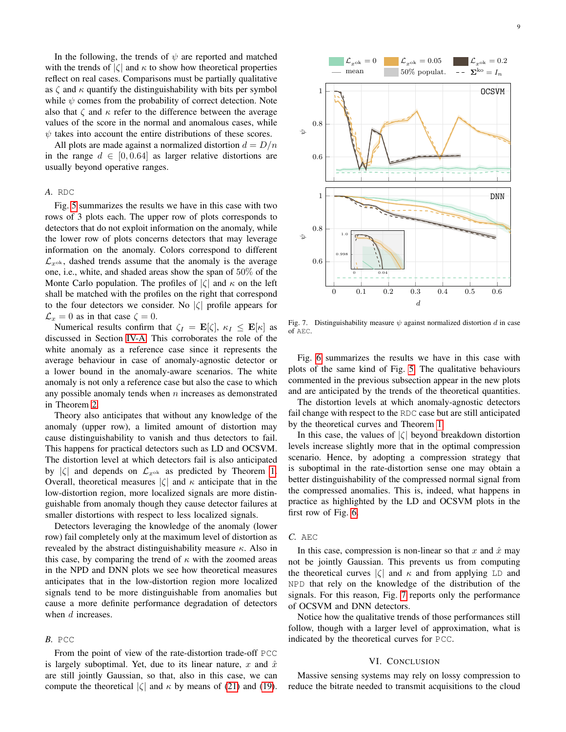In the following, the trends of  $\psi$  are reported and matched with the trends of  $|\zeta|$  and  $\kappa$  to show how theoretical properties reflect on real cases. Comparisons must be partially qualitative as  $\zeta$  and  $\kappa$  quantify the distinguishability with bits per symbol while  $\psi$  comes from the probability of correct detection. Note also that  $\zeta$  and  $\kappa$  refer to the difference between the average values of the score in the normal and anomalous cases, while  $\psi$  takes into account the entire distributions of these scores.

All plots are made against a normalized distortion  $d = D/n$ in the range  $d \in [0, 0.64]$  as larger relative distortions are usually beyond operative ranges.

# *A.* RDC

Fig. [5](#page-7-0) summarizes the results we have in this case with two rows of 3 plots each. The upper row of plots corresponds to detectors that do not exploit information on the anomaly, while the lower row of plots concerns detectors that may leverage information on the anomaly. Colors correspond to different  $\mathcal{L}_{x}$ <sup>ok</sup>, dashed trends assume that the anomaly is the average one, i.e., white, and shaded areas show the span of 50% of the Monte Carlo population. The profiles of  $|\zeta|$  and  $\kappa$  on the left shall be matched with the profiles on the right that correspond to the four detectors we consider. No  $|\zeta|$  profile appears for  $\mathcal{L}_x = 0$  as in that case  $\zeta = 0$ .

Numerical results confirm that  $\zeta_I = \mathbf{E}[\zeta], \kappa_I \leq \mathbf{E}[\kappa]$  as discussed in Section [IV-A.](#page-4-2) This corroborates the role of the white anomaly as a reference case since it represents the average behaviour in case of anomaly-agnostic detector or a lower bound in the anomaly-aware scenarios. The white anomaly is not only a reference case but also the case to which any possible anomaly tends when  $n$  increases as demonstrated in Theorem [2.](#page-5-2)

Theory also anticipates that without any knowledge of the anomaly (upper row), a limited amount of distortion may cause distinguishability to vanish and thus detectors to fail. This happens for practical detectors such as LD and OCSVM. The distortion level at which detectors fail is also anticipated by  $|\zeta|$  and depends on  $\mathcal{L}_{x^{ok}}$  as predicted by Theorem [1.](#page-5-1) Overall, theoretical measures  $|\zeta|$  and  $\kappa$  anticipate that in the low-distortion region, more localized signals are more distinguishable from anomaly though they cause detector failures at smaller distortions with respect to less localized signals.

Detectors leveraging the knowledge of the anomaly (lower row) fail completely only at the maximum level of distortion as revealed by the abstract distinguishability measure  $\kappa$ . Also in this case, by comparing the trend of  $\kappa$  with the zoomed areas in the NPD and DNN plots we see how theoretical measures anticipates that in the low-distortion region more localized signals tend to be more distinguishable from anomalies but cause a more definite performance degradation of detectors when d increases.

# *B.* PCC

From the point of view of the rate-distortion trade-off PCC is largely suboptimal. Yet, due to its linear nature, x and  $\hat{x}$ are still jointly Gaussian, so that, also in this case, we can compute the theoretical  $|\zeta|$  and  $\kappa$  by means of [\(21\)](#page-4-3) and [\(19\)](#page-4-4).



<span id="page-8-0"></span>Fig. 7. Distinguishability measure  $\psi$  against normalized distortion d in case of AEC.

Fig. [6](#page-7-1) summarizes the results we have in this case with plots of the same kind of Fig. [5.](#page-7-0) The qualitative behaviours commented in the previous subsection appear in the new plots and are anticipated by the trends of the theoretical quantities.

The distortion levels at which anomaly-agnostic detectors fail change with respect to the RDC case but are still anticipated by the theoretical curves and Theorem [1.](#page-5-1)

In this case, the values of  $|\zeta|$  beyond breakdown distortion levels increase slightly more that in the optimal compression scenario. Hence, by adopting a compression strategy that is suboptimal in the rate-distortion sense one may obtain a better distinguishability of the compressed normal signal from the compressed anomalies. This is, indeed, what happens in practice as highlighted by the LD and OCSVM plots in the first row of Fig. [6.](#page-7-1)

#### *C.* AEC

In this case, compression is non-linear so that x and  $\hat{x}$  may not be jointly Gaussian. This prevents us from computing the theoretical curves  $|\zeta|$  and  $\kappa$  and from applying LD and NPD that rely on the knowledge of the distribution of the signals. For this reason, Fig. [7](#page-8-0) reports only the performance of OCSVM and DNN detectors.

Notice how the qualitative trends of those performances still follow, though with a larger level of approximation, what is indicated by the theoretical curves for PCC.

# VI. CONCLUSION

Massive sensing systems may rely on lossy compression to reduce the bitrate needed to transmit acquisitions to the cloud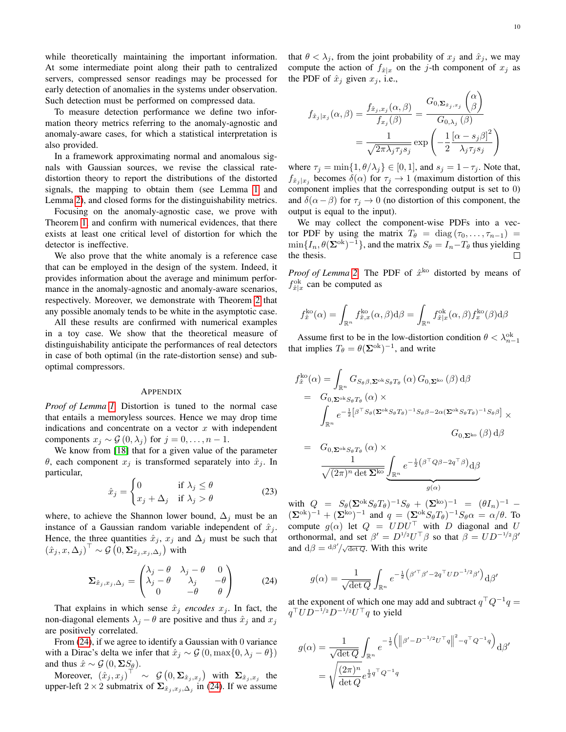while theoretically maintaining the important information. At some intermediate point along their path to centralized servers, compressed sensor readings may be processed for early detection of anomalies in the systems under observation. Such detection must be performed on compressed data.

To measure detection performance we define two information theory metrics referring to the anomaly-agnostic and anomaly-aware cases, for which a statistical interpretation is also provided.

In a framework approximating normal and anomalous signals with Gaussian sources, we revise the classical ratedistortion theory to report the distributions of the distorted signals, the mapping to obtain them (see Lemma [1](#page-2-2) and Lemma [2\)](#page-3-2), and closed forms for the distinguishability metrics.

Focusing on the anomaly-agnostic case, we prove with Theorem [1,](#page-5-1) and confirm with numerical evidences, that there exists at least one critical level of distortion for which the detector is ineffective.

We also prove that the white anomaly is a reference case that can be employed in the design of the system. Indeed, it provides information about the average and minimum performance in the anomaly-agnostic and anomaly-aware scenarios, respectively. Moreover, we demonstrate with Theorem [2](#page-5-2) that any possible anomaly tends to be white in the asymptotic case.

All these results are confirmed with numerical examples in a toy case. We show that the theoretical measure of distinguishability anticipate the performances of real detectors in case of both optimal (in the rate-distortion sense) and suboptimal compressors.

#### APPENDIX

*Proof of Lemma [1.](#page-2-2)* Distortion is tuned to the normal case that entails a memoryless sources. Hence we may drop time indications and concentrate on a vector  $x$  with independent components  $x_j \sim \mathcal{G}(0, \lambda_j)$  for  $j = 0, \ldots, n - 1$ .

We know from [\[18\]](#page-13-5) that for a given value of the parameter θ, each component  $x_j$  is transformed separately into  $\hat{x}_j$ . In particular,

$$
\hat{x}_j = \begin{cases} 0 & \text{if } \lambda_j \le \theta \\ x_j + \Delta_j & \text{if } \lambda_j > \theta \end{cases}
$$
 (23)

where, to achieve the Shannon lower bound,  $\Delta_j$  must be an instance of a Gaussian random variable independent of  $\hat{x}_j$ . Hence, the three quantities  $\hat{x}_j$ ,  $x_j$  and  $\Delta_j$  must be such that  $(\hat{x}_j, x, \Delta_j)^\top \sim \mathcal{G}(0, \Sigma_{\hat{x}_j, x_j, \Delta_j})$  with

<span id="page-9-0"></span>
$$
\Sigma_{\hat{x}_j, x_j, \Delta_j} = \begin{pmatrix} \lambda_j - \theta & \lambda_j - \theta & 0 \\ \lambda_j - \theta & \lambda_j & -\theta \\ 0 & -\theta & \theta \end{pmatrix}
$$
 (24)

That explains in which sense  $\hat{x}_j$  *encodes*  $x_j$ . In fact, the non-diagonal elements  $\lambda_j - \theta$  are positive and thus  $\hat{x}_j$  and  $x_j$ are positively correlated.

From [\(24\)](#page-9-0), if we agree to identify a Gaussian with 0 variance with a Dirac's delta we infer that  $\hat{x}_i \sim \mathcal{G}(0, \max\{0, \lambda_i - \theta\})$ and thus  $\hat{x} \sim \mathcal{G}(0, \Sigma S_{\theta}).$ 

Moreover,  $(\hat{x}_j, x_j)^\top \sim \mathcal{G}(\mathbf{0}, \mathbf{\Sigma}_{\hat{x}_j, x_j})$  with  $\mathbf{\Sigma}_{\hat{x}_j, x_j}$  the upper-left 2 × 2 submatrix of  $\Sigma_{\hat{x}_j, x_j, \Delta_j}$  in [\(24\)](#page-9-0). If we assume that  $\theta < \lambda_j$ , from the joint probability of  $x_j$  and  $\hat{x}_j$ , we may compute the action of  $f_{\hat{x}|x}$  on the *j*-th component of  $x_j$  as the PDF of  $\hat{x}_j$  given  $x_j$ , i.e.,

$$
f_{\hat{x}_j|x_j}(\alpha,\beta) = \frac{f_{\hat{x}_j,x_j}(\alpha,\beta)}{f_{x_j}(\beta)} = \frac{G_{0,\mathbf{\Sigma}_{\hat{x}_j,x_j}}\binom{\alpha}{\beta}}{G_{0,\lambda_j}(\beta)}
$$

$$
= \frac{1}{\sqrt{2\pi\lambda_j\tau_j s_j}} \exp\left(-\frac{1}{2}\frac{[\alpha-s_j\beta]^2}{\lambda_j \tau_j s_j}\right)
$$

where  $\tau_j = \min\{1, \theta/\lambda_j\} \in [0, 1]$ , and  $s_j = 1 - \tau_j$ . Note that,  $f_{\hat{x}_j | x_j}$  becomes  $\delta(\alpha)$  for  $\tau_j \to 1$  (maximum distortion of this component implies that the corresponding output is set to 0) and  $\delta(\alpha-\beta)$  for  $\tau_j \to 0$  (no distortion of this component, the output is equal to the input).

We may collect the component-wise PDFs into a vector PDF by using the matrix  $T_{\theta} = \text{diag}(\tau_0, \dots, \tau_{n-1})$  $\min\{I_n, \theta(\mathbf{\Sigma}^{\text{ok}})^{-1}\}\$ , and the matrix  $S_\theta = I_n - T_\theta$  thus yielding the thesis. П

*Proof of Lemma* [2.](#page-3-2) The PDF of  $\hat{x}^{ko}$  distorted by means of  $f^{\text{ok}}_{\hat{x}|x}$  can be computed as

$$
f_{\hat{x}}^{\text{ko}}(\alpha) = \int_{\mathbb{R}^n} f_{\hat{x},x}^{\text{ko}}(\alpha,\beta) d\beta = \int_{\mathbb{R}^n} f_{\hat{x}|x}^{\text{ok}}(\alpha,\beta) f_x^{\text{ko}}(\beta) d\beta
$$

Assume first to be in the low-distortion condition  $\theta < \lambda_{n-1}^{\text{ok}}$ that implies  $T_{\theta} = \theta(\mathbf{\Sigma}^{\text{ok}})^{-1}$ , and write

$$
f_{\hat{x}}^{\text{ko}}(\alpha) = \int_{\mathbb{R}^n} G_{S_{\theta}\beta, \Sigma^{\text{ok}}S_{\theta}T_{\theta}}(\alpha) G_{0, \Sigma^{\text{ko}}}(\beta) d\beta
$$
  
\n
$$
= G_{0, \Sigma^{\text{ok}}S_{\theta}T_{\theta}}(\alpha) \times \int_{\mathbb{R}^n} e^{-\frac{1}{2} \left[\beta^{\top} S_{\theta} (\Sigma^{\text{ok}} S_{\theta}T_{\theta})^{-1} S_{\theta}\beta - 2\alpha (\Sigma^{\text{ok}} S_{\theta}T_{\theta})^{-1} S_{\theta}\beta\right]} \times G_{0, \Sigma^{\text{ko}}}(\beta) d\beta
$$

$$
= G_{0,\Sigma^{\text{ok}}S_{\theta}T_{\theta}}(\alpha) \times \frac{1}{\sqrt{(2\pi)^n \det \Sigma^{\text{ko}}}} \underbrace{\int_{\mathbb{R}^n} e^{-\frac{1}{2} (\beta^{\top} Q \beta - 2q^{\top} \beta)} d\beta}_{g(\alpha)}
$$

with  $Q = S_{\theta} (\Sigma^{\rm ok} S_{\theta} T_{\theta})^{-1} S_{\theta} + (\Sigma^{\rm ko})^{-1} = (\theta I_n)^{-1}$  –  $(\mathbf{\Sigma}^{\text{ok}})^{-1} + (\mathbf{\Sigma}^{\text{ko}})^{-1}$  and  $q = (\mathbf{\Sigma}^{\text{ok}} S_{\theta} T_{\theta})^{-1} S_{\theta} \alpha = \alpha / \theta$ . To compute  $g(\alpha)$  let  $Q = UDU^{\top}$  with D diagonal and U orthonormal, and set  $\beta' = D^{1/2}U^{\top}\beta$  so that  $\beta = UD^{-1/2}\beta'$ and  $d\beta = d\beta' / \sqrt{\det Q}$ . With this write

$$
g(\alpha) = \frac{1}{\sqrt{\det Q}} \int_{\mathbb{R}^n} e^{-\frac{1}{2} (\beta'^{\top} \beta' - 2q^{\top} U D^{-1/2} \beta')} d\beta'
$$

at the exponent of which one may add and subtract  $q^{\top}Q^{-1}q =$  $q^{\top}UD^{-1/2}D^{-1/2}U^{\top}q$  to yield

$$
g(\alpha) = \frac{1}{\sqrt{\det Q}} \int_{\mathbb{R}^n} e^{-\frac{1}{2} (\|\beta' - D^{-1/2}U^\top q\|^2 - q^\top Q^{-1} q)} d\beta'
$$
  
= 
$$
\sqrt{\frac{(2\pi)^n}{\det Q}} e^{\frac{1}{2}q^\top Q^{-1} q}
$$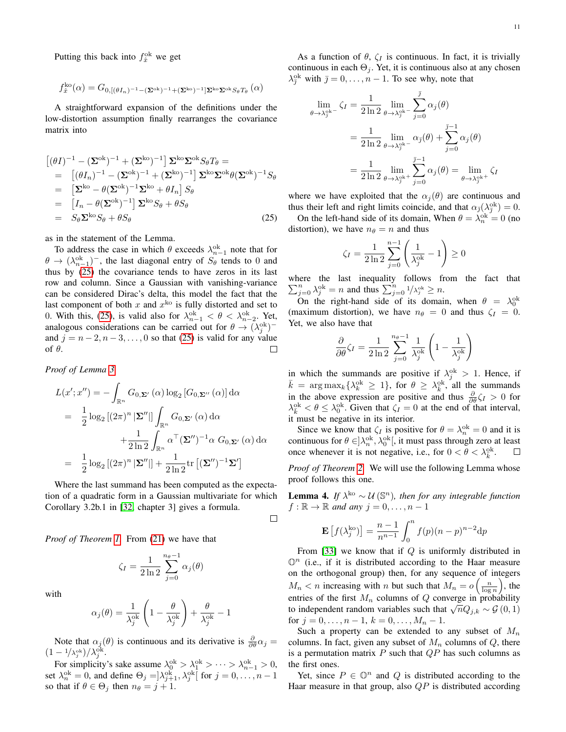Putting this back into  $f_{\hat{x}}^{\text{ok}}$  we get

$$
f^{\rm ko}_{\hat{x}}(\alpha)=G_{0,[(\theta I_n)^{-1}-(\mathbf{\Sigma}^{\rm ok})^{-1}+(\mathbf{\Sigma}^{\rm ko})^{-1}]\mathbf{\Sigma}^{\rm ko}\mathbf{\Sigma}^{\rm ok}S_{\theta}T_{\theta}}\left(\alpha\right)
$$

A straightforward expansion of the definitions under the low-distortion assumption finally rearranges the covariance matrix into

<span id="page-10-0"></span>
$$
\begin{aligned}\n\left[ (\theta I)^{-1} - (\mathbf{\Sigma}^{\text{ok}})^{-1} + (\mathbf{\Sigma}^{\text{ko}})^{-1} \right] \mathbf{\Sigma}^{\text{ko}} \mathbf{\Sigma}^{\text{ok}} S_{\theta} T_{\theta} = \\
&= \left[ (\theta I_n)^{-1} - (\mathbf{\Sigma}^{\text{ok}})^{-1} + (\mathbf{\Sigma}^{\text{ko}})^{-1} \right] \mathbf{\Sigma}^{\text{ko}} \mathbf{\Sigma}^{\text{ok}} \theta (\mathbf{\Sigma}^{\text{ok}})^{-1} S_{\theta} \\
&= \left[ \mathbf{\Sigma}^{\text{ko}} - \theta (\mathbf{\Sigma}^{\text{ok}})^{-1} \mathbf{\Sigma}^{\text{ko}} + \theta I_n \right] S_{\theta} \\
&= \left[ I_n - \theta (\mathbf{\Sigma}^{\text{ok}})^{-1} \right] \mathbf{\Sigma}^{\text{ko}} S_{\theta} + \theta S_{\theta} \\
&= S_{\theta} \mathbf{\Sigma}^{\text{ko}} S_{\theta} + \theta S_{\theta}\n\end{aligned} \tag{25}
$$

as in the statement of the Lemma.

To address the case in which  $\theta$  exceeds  $\lambda_{n-1}^{\text{ok}}$  note that for  $\theta \rightarrow (\lambda_{n-1}^{\text{ok}})^{-}$ , the last diagonal entry of  $S_{\theta}$  tends to 0 and thus by [\(25\)](#page-10-0) the covariance tends to have zeros in its last row and column. Since a Gaussian with vanishing-variance can be considered Dirac's delta, this model the fact that the last component of both  $x$  and  $x^{ko}$  is fully distorted and set to 0. With this, [\(25\)](#page-10-0), is valid also for  $\lambda_{n-1}^{ok} < \theta < \lambda_{n-2}^{ok}$ . Yet, analogous considerations can be carried out for  $\theta \to (\lambda_j^{\text{ok}})^$ and  $j = n-2, n-3, \ldots, 0$  so that [\(25\)](#page-10-0) is valid for any value of θ.  $\Box$ 

*Proof of Lemma [3.](#page-3-6)*

$$
L(x';x'') = -\int_{\mathbb{R}^n} G_{0,\Sigma'}(\alpha) \log_2 [G_{0,\Sigma''}(\alpha)] d\alpha
$$
  
=  $\frac{1}{2} \log_2 [(2\pi)^n |\Sigma''|] \int_{\mathbb{R}^n} G_{0,\Sigma'}(\alpha) d\alpha$   
+  $\frac{1}{2 \ln 2} \int_{\mathbb{R}^n} \alpha^{\top} (\Sigma'')^{-1} \alpha G_{0,\Sigma'}(\alpha) d\alpha$   
=  $\frac{1}{2} \log_2 [(2\pi)^n |\Sigma''|] + \frac{1}{2 \ln 2} \text{tr} [(\Sigma'')^{-1} \Sigma']$ 

Where the last summand has been computed as the expectation of a quadratic form in a Gaussian multivariate for which Corollary 3.2b.1 in [\[32,](#page-13-19) chapter 3] gives a formula.

 $\Box$ 

*Proof of Theorem [1.](#page-5-1)* From [\(21\)](#page-4-3) we have that

$$
\zeta_I = \frac{1}{2\ln 2} \sum_{j=0}^{n_{\theta}-1} \alpha_j(\theta)
$$

with

$$
\alpha_j(\theta) = \frac{1}{\lambda_j^{\text{ok}}}\left(1 - \frac{\theta}{\lambda_j^{\text{ok}}}\right) + \frac{\theta}{\lambda_j^{\text{ok}}} - 1
$$

Note that  $\alpha_j(\theta)$  is continuous and its derivative is  $\frac{\partial}{\partial \theta} \alpha_j =$  $(1 - 1/\lambda_j^{\text{ok}})/\lambda_j^{\text{ok}}$ .

For simplicity's sake assume  $\lambda_0^{ok} > \lambda_1^{ok} > \cdots > \lambda_{n-1}^{ok} > 0$ , set  $\lambda_n^{\text{ok}} = 0$ , and define  $\Theta_j = ]\lambda_{j+1}^{\text{ok}}, \lambda_j^{\text{ok}}[$  for  $j = 0, \dots, n-1$ so that if  $\theta \in \Theta_i$  then  $n_{\theta} = j + 1$ .

As a function of  $\theta$ ,  $\zeta_I$  is continuous. In fact, it is trivially continuous in each  $\Theta_j$ . Yet, it is continuous also at any chosen  $\lambda_{\bar{\jmath}}^{\text{ok}}$  with  $\bar{\jmath} = 0, \ldots, n - 1$ . To see why, note that

$$
\lim_{\beta \to \lambda_j^{\text{ok}}} \zeta_I = \frac{1}{2 \ln 2} \lim_{\theta \to \lambda_j^{\text{ok}}} \sum_{j=0}^{\bar{\jmath}} \alpha_j(\theta)
$$

$$
= \frac{1}{2 \ln 2} \lim_{\theta \to \lambda_j^{\text{ok}}} \alpha_j(\theta) + \sum_{j=0}^{\bar{\jmath}-1} \alpha_j(\theta)
$$

$$
= \frac{1}{2 \ln 2} \lim_{\theta \to \lambda_j^{\text{ok}}} \sum_{j=0}^{\bar{\jmath}-1} \alpha_j(\theta) = \lim_{\theta \to \lambda_j^{\text{ok}}} \zeta_I
$$

 $\theta$ 

where we have exploited that the  $\alpha_i(\theta)$  are continuous and thus their left and right limits coincide, and that  $\alpha_{\bar{\jmath}}(\lambda_{\bar{\jmath}}^{\text{ok}}) = 0$ .

On the left-hand side of its domain, When  $\theta = \lambda_n^{\text{ok}} = 0$  (no distortion), we have  $n_{\theta} = n$  and thus

$$
\zeta_I = \frac{1}{2\ln 2} \sum_{j=0}^{n-1} \left( \frac{1}{\lambda_j^{ok}} - 1 \right) \ge 0
$$

where the last inequality follows from the fact that  $\sum_{j=0}^{n} \lambda_j^{ok} = n$  and thus  $\sum_{j=0}^{n} \frac{1}{\lambda_j^{ok}} \geq n$ .

On the right-hand side of its domain, when  $\theta = \lambda_0^{\text{ok}}$ (maximum distortion), we have  $n_{\theta} = 0$  and thus  $\zeta_I = 0$ . Yet, we also have that

$$
\frac{\partial}{\partial \theta} \zeta_I = \frac{1}{2 \ln 2} \sum_{j=0}^{n_{\theta}-1} \frac{1}{\lambda_j^{ok}} \left( 1 - \frac{1}{\lambda_j^{ok}} \right)
$$

in which the summands are positive if  $\lambda_j^{ok} > 1$ . Hence, if  $\bar{k}$  = arg max<sub>k</sub>{ $\lambda_k^{\text{ok}} \geq 1$ }, for  $\theta \geq \lambda_k^{\text{ok}}$ , all the summands in the above expression are positive and thus  $\frac{\partial}{\partial \theta} \zeta_I > 0$  for  $\lambda_k^{\text{ok}} < \theta \leq \lambda_0^{\text{ok}}$ . Given that  $\zeta_I = 0$  at the end of that interval, it must be negative in its interior.

Since we know that  $\zeta_I$  is positive for  $\theta = \lambda_n^{\text{ok}} = 0$  and it is continuous for  $\theta \in ]\lambda_n^{ok}, \lambda_0^{ok}[,$  it must pass through zero at least once whenever it is not negative, i.e., for  $0 < \theta < \lambda_k^{\text{ok}}$ .

*Proof of Theorem [2.](#page-5-2)* We will use the following Lemma whose proof follows this one.

<span id="page-10-1"></span>**Lemma 4.** If  $\lambda^{k\circ} \sim \mathcal{U}(\mathbb{S}^n)$ , then for any integrable function  $f : \mathbb{R} \to \mathbb{R}$  and any  $j = 0, \ldots, n - 1$ 

$$
\mathbf{E}\left[f(\lambda_j^{\text{ko}})\right] = \frac{n-1}{n^{n-1}} \int_0^n f(p)(n-p)^{n-2} \mathrm{d}p
$$

From [\[33\]](#page-13-20) we know that if  $Q$  is uniformly distributed in  $\mathbb{O}^n$  (i.e., if it is distributed according to the Haar measure on the orthogonal group) then, for any sequence of integers  $M_n < n$  increasing with n but such that  $M_n = o\left(\frac{n}{\log n}\right)$ , the entries of the first  $M_n$  columns of Q converge in probability to independent random variables such that  $\sqrt{n}Q_{j,k} \sim \mathcal{G}(0,1)$ for  $j = 0, \ldots, n - 1, k = 0, \ldots, M_n - 1$ .

Such a property can be extended to any subset of  $M_n$ columns. In fact, given any subset of  $M_n$  columns of  $Q$ , there is a permutation matrix  $P$  such that  $QP$  has such columns as the first ones.

Yet, since  $P \in \mathbb{O}^n$  and Q is distributed according to the Haar measure in that group, also  $QP$  is distributed according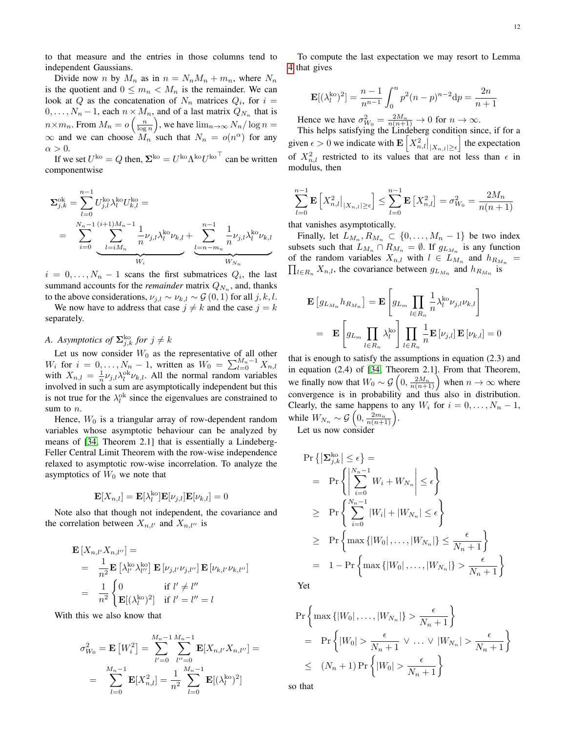to that measure and the entries in those columns tend to independent Gaussians.

Divide now *n* by  $M_n$  as in  $n = N_n M_n + m_n$ , where  $N_n$ is the quotient and  $0 \leq m_n < M_n$  is the remainder. We can look at Q as the concatenation of  $N_n$  matrices  $Q_i$ , for  $i =$  $0, \ldots, N_n - 1$ , each  $n \times M_n$ , and of a last matrix  $Q_{N_n}$  that is  $n \times m_n$ . From  $M_n = o\left(\frac{n}{\log n}\right)$ , we have  $\lim_{n \to \infty} N_n / \log n =$  $\infty$  and we can choose  $M_n$  such that  $N_n = o(n^{\alpha})$  for any  $\alpha > 0$ .

If we set  $U^{\text{ko}} = Q$  then,  $\Sigma^{\text{ko}} = U^{\text{ko}} \Lambda^{\text{ko}} U^{\text{ko}}^{\top}$  can be written componentwise

$$
\Sigma_{j,k}^{\text{ok}} = \sum_{l=0}^{n-1} U_{j,l}^{\text{ko}} \lambda_l^{\text{ko}} U_{k,l}^{\text{ko}} =
$$
\n
$$
= \sum_{i=0}^{N_n-1} \underbrace{\sum_{l=iM_n}^{(i+1)M_n-1} \frac{1}{n} \nu_{j,l} \lambda_l^{\text{ko}} \nu_{k,l}}_{W_i} + \underbrace{\sum_{l=n-m_n}^{n-1} \frac{1}{n} \nu_{j,l} \lambda_l^{\text{ko}} \nu_{k,l}}_{W_{N_n}}
$$

 $i = 0, \ldots, N_n - 1$  scans the first submatrices  $Q_i$ , the last summand accounts for the *remainder* matrix  $Q_{N_n}$ , and, thanks to the above considerations,  $\nu_{i,l} \sim \nu_{k,l} \sim \mathcal{G}(0, 1)$  for all  $j, k, l$ .

We now have to address that case  $j \neq k$  and the case  $j = k$ separately.

# *A.* Asymptotics of  $\mathbf{\Sigma}_{j,k}^{\text{ko}}$  for  $j \neq k$

Let us now consider  $W_0$  as the representative of all other  $W_i$  for  $i = 0, ..., N_n - 1$ , written as  $W_0 = \sum_{l=0}^{M_n - 1} X_{n,l}$ with  $X_{n,l} = \frac{1}{n} \nu_{j,l} \lambda_l^{ok} \nu_{k,l}$ . All the normal random variables involved in such a sum are asymptotically independent but this is not true for the  $\lambda_l^{ok}$  since the eigenvalues are constrained to sum to n.

Hence,  $W_0$  is a triangular array of row-dependent random variables whose asymptotic behaviour can be analyzed by means of [\[34,](#page-13-21) Theorem 2.1] that is essentially a Lindeberg-Feller Central Limit Theorem with the row-wise independence relaxed to asymptotic row-wise incorrelation. To analyze the asymptotics of  $W_0$  we note that

$$
\mathbf{E}[X_{n,l}] = \mathbf{E}[\lambda_l^{\text{ko}}] \mathbf{E}[\nu_{j,l}] \mathbf{E}[\nu_{k,l}] = 0
$$

Note also that though not independent, the covariance and the correlation between  $X_{n,l'}$  and  $X_{n,l''}$  is

$$
\mathbf{E}\left[X_{n,l'}X_{n,l''}\right] =
$$
\n
$$
= \frac{1}{n^2}\mathbf{E}\left[\lambda_l^{\text{ko}}\lambda_{l''}^{\text{ko}}\right]\mathbf{E}\left[\nu_{j,l'}\nu_{j,l''}\right]\mathbf{E}\left[\nu_{k,l'}\nu_{k,l''}\right]
$$
\n
$$
= \frac{1}{n^2}\begin{cases} 0 & \text{if } l' \neq l''\\ \mathbf{E}[(\lambda_l^{\text{ko}})^2] & \text{if } l' = l'' = l \end{cases}
$$

With this we also know that

$$
\sigma_{W_0}^2 = \mathbf{E}\left[W_i^2\right] = \sum_{l'=0}^{M_n-1} \sum_{l''=0}^{M_n-1} \mathbf{E}[X_{n,l'}X_{n,l''}] =
$$
  
= 
$$
\sum_{l=0}^{M_n-1} \mathbf{E}[X_{n,l}^2] = \frac{1}{n^2} \sum_{l=0}^{M_n-1} \mathbf{E}[(\lambda_l^{ko})^2]
$$

To compute the last expectation we may resort to Lemma [4](#page-10-1) that gives

$$
\mathbf{E}[(\lambda_l^{\text{ko}})^2] = \frac{n-1}{n^{n-1}} \int_0^n p^2 (n-p)^{n-2} \mathrm{d}p = \frac{2n}{n+1}
$$

Hence we have  $\sigma_{W_0}^2 = \frac{2M_n}{n(n+1)} \to 0$  for  $n \to \infty$ .

This helps satisfying the Lindeberg condition since, if for a given  $\epsilon > 0$  we indicate with  $\mathbf{E}\left[X_{n,l}^2\big|_{|X_{n,l}|\geq \epsilon}\right]$  the expectation of  $X_{n,l}^2$  restricted to its values that are not less than  $\epsilon$  in modulus, then

$$
\sum_{l=0}^{n-1} \mathbf{E}\left[X_{n,l}^2|_{|X_{n,l}|\geq \epsilon}\right] \leq \sum_{l=0}^{n-1} \mathbf{E}\left[X_{n,l}^2\right] = \sigma_{W_0}^2 = \frac{2M_n}{n(n+1)}
$$

that vanishes asymptotically.

Finally, let  $L_{M_n}, R_{M_n} \subset \{0, ..., M_n - 1\}$  be two index subsets such that  $L_{M_n} \cap R_{M_n} = \emptyset$ . If  $g_{L_{M_n}}$  is any function of the random variables  $X_{n,l}$  with  $l \in L_{M_n}$  and  $h_{R_{M_n}} =$  $\prod_{l \in R_n} X_{n,l}$ , the covariance between  $g_{L_{M_n}}$  and  $h_{R_{M_n}}$  is

$$
\mathbf{E}\left[g_{L_{M_n}} h_{R_{M_n}}\right] = \mathbf{E}\left[g_{L_m} \prod_{l \in R_n} \frac{1}{n} \lambda_l^{\text{ko}} \nu_{j,l} \nu_{k,l}\right]
$$

$$
= \mathbf{E}\left[g_{L_m} \prod_{l \in R_n} \lambda_l^{\text{ko}}\right] \prod_{l \in R_n} \frac{1}{n} \mathbf{E}\left[\nu_{j,l}\right] \mathbf{E}\left[\nu_{k,l}\right] = 0
$$

that is enough to satisfy the assumptions in equation (2.3) and in equation (2.4) of [\[34,](#page-13-21) Theorem 2.1]. From that Theorem, we finally now that  $W_0 \sim \mathcal{G}\left(0, \frac{2M_n}{n(n+1)}\right)$  when  $n \to \infty$  where convergence is in probability and thus also in distribution. Clearly, the same happens to any  $W_i$  for  $i = 0, \ldots, N_n - 1$ , while  $W_{N_n} \sim \mathcal{G}\left(0, \frac{2m_n}{n(n+1)}\right)$ .

Let us now consider

$$
\Pr\left\{ \left| \sum_{j,k}^{k_0} \right| \leq \epsilon \right\} =
$$
\n
$$
= \Pr\left\{ \left| \sum_{i=0}^{N_n - 1} W_i + W_{N_n} \right| \leq \epsilon \right\}
$$
\n
$$
\geq \Pr\left\{ \sum_{i=0}^{N_n - 1} |W_i| + |W_{N_n}| \leq \epsilon \right\}
$$
\n
$$
\geq \Pr\left\{ \max\left\{ |W_0|, \ldots, |W_{N_n}| \right\} \leq \frac{\epsilon}{N_n + 1} \right\}
$$
\n
$$
= 1 - \Pr\left\{ \max\left\{ |W_0|, \ldots, |W_{N_n}| \right\} > \frac{\epsilon}{N_n + 1} \right\}
$$

Yet

$$
\Pr\left\{\max\{|W_0|, \dots, |W_{N_n}|\} > \frac{\epsilon}{N_n + 1}\right\}
$$
\n
$$
= \Pr\left\{|W_0| > \frac{\epsilon}{N_n + 1} \lor \dots \lor |W_{N_n}| > \frac{\epsilon}{N_n + 1}\right\}
$$
\n
$$
\leq (N_n + 1) \Pr\left\{|W_0| > \frac{\epsilon}{N_n + 1}\right\}
$$

so that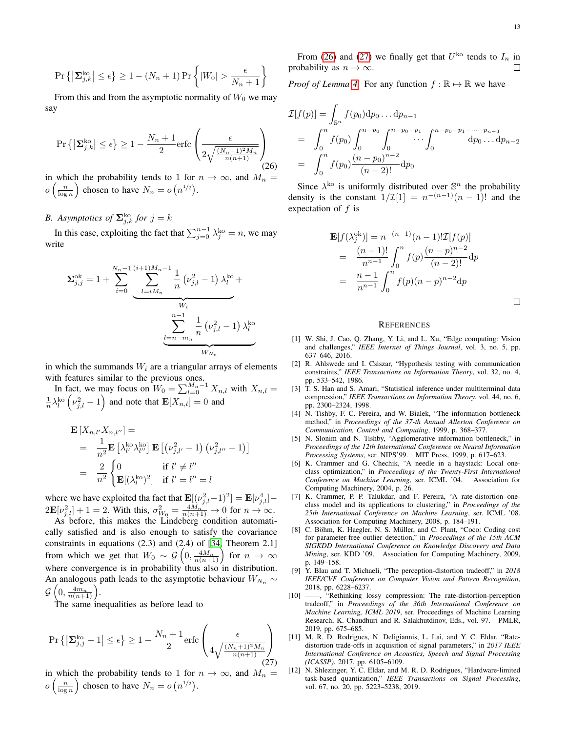$$
\Pr\left\{ \left|\mathbf{\Sigma}_{j,k}^{\text{ko}}\right| \leq \epsilon\right\} \geq 1 - (N_n + 1)\Pr\left\{ |W_0| > \frac{\epsilon}{N_n + 1} \right\}
$$

From this and from the asymptotic normality of  $W_0$  we may say

<span id="page-12-12"></span>
$$
\Pr\left\{ \left| \mathbf{\Sigma}_{j,k}^{\text{ko}} \right| \leq \epsilon \right\} \geq 1 - \frac{N_n + 1}{2} \text{erfc}\left(\frac{\epsilon}{2\sqrt{\frac{(N_n+1)^2 M_n}{n(n+1)}}}\right)
$$
(26)

in which the probability tends to 1 for  $n \to \infty$ , and  $M_n =$  $o\left(\frac{n}{\log n}\right)$  chosen to have  $N_n = o\left(n^{1/2}\right)$ .

# *B.* Asymptotics of  $\mathbf{\Sigma}_{j,k}^{\text{ko}}$  for  $j = k$

In this case, exploiting the fact that  $\sum_{j=0}^{n-1} \lambda_j^{\rm ko} = n$ , we may write

$$
\Sigma_{j,j}^{\text{ok}} = 1 + \sum_{i=0}^{N_n - 1} \underbrace{\sum_{l=iM_n}^{(i+1)M_n - 1} \frac{1}{n} (\nu_{j,l}^2 - 1)}_{W_i} \lambda_l^{\text{ko}} + \underbrace{\sum_{l=n-m_n}^{n-1} \frac{1}{n} (\nu_{j,l}^2 - 1)}_{W_{N_n}}
$$

in which the summands  $W_i$  are a triangular arrays of elements with features similar to the previous ones.

In fact, we may focus on  $W_0 = \sum_{l=0}^{M_n-1} X_{n,l}$  with  $X_{n,l} =$  $\frac{1}{n}\lambda_l^{\text{ko}}\left(\nu_{j,l}^2-1\right)$  and note that  $\mathbf{E}[X_{n,l}]=0$  and

$$
\mathbf{E}\left[X_{n,l'}X_{n,l''}\right] =
$$
\n
$$
= \frac{1}{n^2}\mathbf{E}\left[\lambda_{l'}^{k\circ}\lambda_{l''}^{k\circ}\right]\mathbf{E}\left[\left(\nu_{j,l'}^2 - 1\right)\left(\nu_{j,l''}^2 - 1\right)\right]
$$
\n
$$
= \frac{2}{n^2}\begin{cases} 0 & \text{if } l' \neq l''\\ \mathbf{E}[(\lambda_l^{k\circ})^2] & \text{if } l' = l'' = l \end{cases}
$$

where we have exploited tha fact that  $\mathbf{E}[(\nu_{j,l}^2 - 1)^2] = \mathbf{E}[\nu_{j,l}^4] 2\mathbf{E}[\nu_{j,l}^2]+1=2.$  With this,  $\sigma_{W_0}^2=\frac{4M_n^2}{n(n+1)}\rightarrow 0$  for  $n\rightarrow\infty$ .

As before, this makes the Lindeberg condition automatically satisfied and is also enough to satisfy the covariance constraints in equations (2.3) and (2.4) of [\[34,](#page-13-21) Theorem 2.1] from which we get that  $W_0 \sim \mathcal{G}\left(0, \frac{4M_n}{n(n+1)}\right)$  for  $n \to \infty$ where convergence is in probability thus also in distribution. An analogous path leads to the asymptotic behaviour  $W_{N_n} \sim$  $\mathcal{G}\left(0, \frac{4m_n}{n(n+1)}\right)$ .

The same inequalities as before lead to

<span id="page-12-13"></span>
$$
\Pr\left\{ \left| \Sigma_{j,j}^{\text{ko}} - 1 \right| \le \epsilon \right\} \ge 1 - \frac{N_n + 1}{2} \text{erfc}\left(\frac{\epsilon}{4\sqrt{\frac{(N_n+1)^2 M_n}{n(n+1)}}}\right) \tag{27}
$$

in which the probability tends to 1 for  $n \to \infty$ , and  $M_n =$  $o\left(\frac{n}{\log n}\right)$  chosen to have  $N_n = o\left(n^{1/2}\right)$ .

From [\(26\)](#page-12-12) and [\(27\)](#page-12-13) we finally get that  $U^{ko}$  tends to  $I_n$  in probability as  $n \to \infty$ .

*Proof of Lemma [4.](#page-10-1)* For any function  $f : \mathbb{R} \to \mathbb{R}$  we have

$$
\mathcal{I}[f(p)] = \int_{\mathbb{S}^n} f(p_0) \mathrm{d}p_0 \dots \mathrm{d}p_{n-1}
$$
\n
$$
= \int_0^n f(p_0) \int_0^{n-p_0} \int_0^{n-p_0-p_1} \dots \int_0^{n-p_0-p_1-\dots-p_{n-3}} \mathrm{d}p_0 \dots \mathrm{d}p_{n-2}
$$
\n
$$
= \int_0^n f(p_0) \frac{(n-p_0)^{n-2}}{(n-2)!} \mathrm{d}p_0
$$

Since  $\lambda^{k_0}$  is uniformly distributed over  $\mathbb{S}^n$  the probability density is the constant  $1/\mathcal{I}[1] = n^{-(n-1)}(n-1)!$  and the expectation of  $f$  is

$$
\mathbf{E}[f(\lambda_j^{\text{ok}})] = n^{-(n-1)}(n-1)!\mathcal{I}[f(p)]
$$
  
= 
$$
\frac{(n-1)!}{n^{n-1}} \int_0^n f(p) \frac{(n-p)^{n-2}}{(n-2)!} dp
$$
  
= 
$$
\frac{n-1}{n^{n-1}} \int_0^n f(p) (n-p)^{n-2} dp
$$

#### **REFERENCES**

- <span id="page-12-0"></span>[1] W. Shi, J. Cao, Q. Zhang, Y. Li, and L. Xu, "Edge computing: Vision and challenges," *IEEE Internet of Things Journal*, vol. 3, no. 5, pp. 637–646, 2016.
- <span id="page-12-1"></span>[2] R. Ahlswede and I. Csiszar, "Hypothesis testing with communication constraints," *IEEE Transactions on Information Theory*, vol. 32, no. 4, pp. 533–542, 1986.
- <span id="page-12-2"></span>[3] T. S. Han and S. Amari, "Statistical inference under multiterminal data compression," *IEEE Transactions on Information Theory*, vol. 44, no. 6, pp. 2300–2324, 1998.
- <span id="page-12-3"></span>[4] N. Tishby, F. C. Pereira, and W. Bialek, "The information bottleneck method," in *Proceedings of the 37-th Annual Allerton Conference on Communication, Control and Computing*, 1999, p. 368–377.
- <span id="page-12-4"></span>[5] N. Slonim and N. Tishby, "Agglomerative information bottleneck," in *Proceedings of the 12th International Conference on Neural Information Processing Systems*, ser. NIPS'99. MIT Press, 1999, p. 617–623.
- <span id="page-12-5"></span>[6] K. Crammer and G. Chechik, "A needle in a haystack: Local oneclass optimization," in *Proceedings of the Twenty-First International Conference on Machine Learning*, ser. ICML '04. Association for Computing Machinery, 2004, p. 26.
- <span id="page-12-6"></span>[7] K. Crammer, P. P. Talukdar, and F. Pereira, "A rate-distortion oneclass model and its applications to clustering," in *Proceedings of the 25th International Conference on Machine Learning*, ser. ICML '08. Association for Computing Machinery, 2008, p. 184–191.
- <span id="page-12-7"></span>[8] C. Böhm, K. Haegler, N. S. Müller, and C. Plant, "Coco: Coding cost for parameter-free outlier detection," in *Proceedings of the 15th ACM SIGKDD International Conference on Knowledge Discovery and Data Mining*, ser. KDD '09. Association for Computing Machinery, 2009, p. 149–158.
- <span id="page-12-8"></span>[9] Y. Blau and T. Michaeli, "The perception-distortion tradeoff," in *2018 IEEE/CVF Conference on Computer Vision and Pattern Recognition*, 2018, pp. 6228–6237.
- <span id="page-12-9"></span>[10] -, "Rethinking lossy compression: The rate-distortion-perception tradeoff," in *Proceedings of the 36th International Conference on Machine Learning, ICML 2019*, ser. Proceedings of Machine Learning Research, K. Chaudhuri and R. Salakhutdinov, Eds., vol. 97. PMLR, 2019, pp. 675–685.
- <span id="page-12-10"></span>[11] M. R. D. Rodrigues, N. Deligiannis, L. Lai, and Y. C. Eldar, "Ratedistortion trade-offs in acquisition of signal parameters," in *2017 IEEE International Conference on Acoustics, Speech and Signal Processing (ICASSP)*, 2017, pp. 6105–6109.
- <span id="page-12-11"></span>N. Shlezinger, Y. C. Eldar, and M. R. D. Rodrigues, "Hardware-limited task-based quantization," *IEEE Transactions on Signal Processing*, vol. 67, no. 20, pp. 5223–5238, 2019.